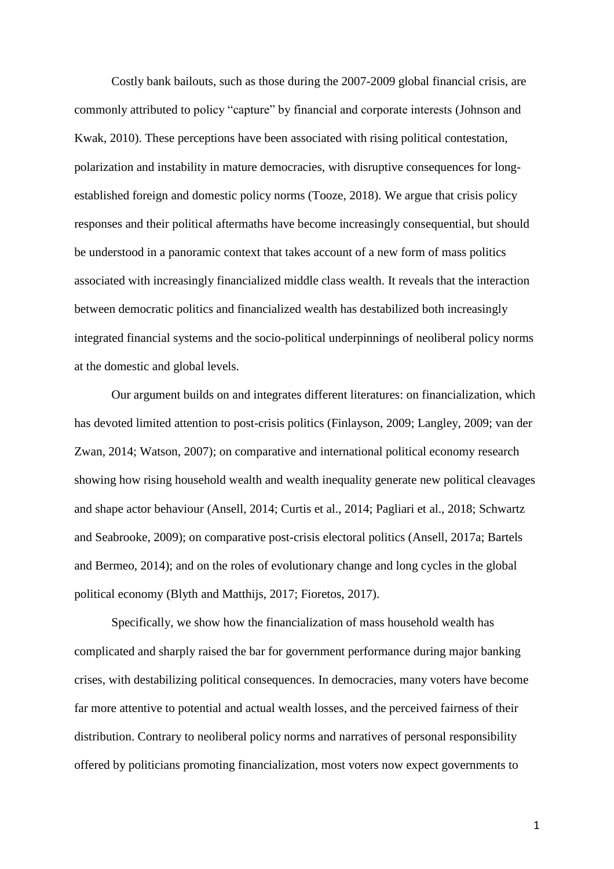Costly bank bailouts, such as those during the 2007-2009 global financial crisis, are commonly attributed to policy "capture" by financial and corporate interests (Johnson and Kwak, 2010). These perceptions have been associated with rising political contestation, polarization and instability in mature democracies, with disruptive consequences for longestablished foreign and domestic policy norms (Tooze, 2018). We argue that crisis policy responses and their political aftermaths have become increasingly consequential, but should be understood in a panoramic context that takes account of a new form of mass politics associated with increasingly financialized middle class wealth. It reveals that the interaction between democratic politics and financialized wealth has destabilized both increasingly integrated financial systems and the socio-political underpinnings of neoliberal policy norms at the domestic and global levels.

Our argument builds on and integrates different literatures: on financialization, which has devoted limited attention to post-crisis politics (Finlayson, 2009; Langley, 2009; van der Zwan, 2014; Watson, 2007); on comparative and international political economy research showing how rising household wealth and wealth inequality generate new political cleavages and shape actor behaviour (Ansell, 2014; Curtis et al., 2014; Pagliari et al., 2018; Schwartz and Seabrooke, 2009); on comparative post-crisis electoral politics (Ansell, 2017a; Bartels and Bermeo, 2014); and on the roles of evolutionary change and long cycles in the global political economy (Blyth and Matthijs, 2017; Fioretos, 2017).

Specifically, we show how the financialization of mass household wealth has complicated and sharply raised the bar for government performance during major banking crises, with destabilizing political consequences. In democracies, many voters have become far more attentive to potential and actual wealth losses, and the perceived fairness of their distribution. Contrary to neoliberal policy norms and narratives of personal responsibility offered by politicians promoting financialization, most voters now expect governments to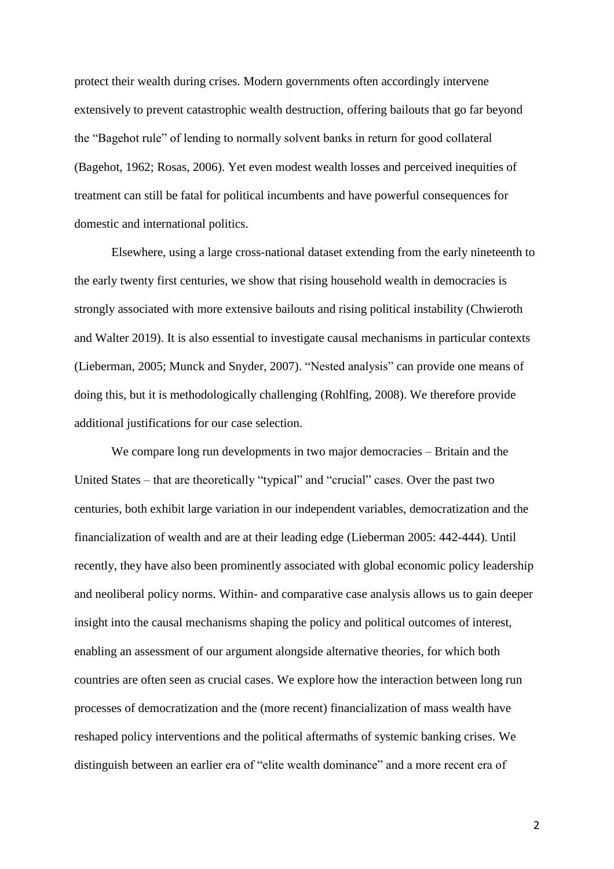protect their wealth during crises. Modern governments often accordingly intervene extensively to prevent catastrophic wealth destruction, offering bailouts that go far beyond the "Bagehot rule" of lending to normally solvent banks in return for good collateral (Bagehot, 1962; Rosas, 2006). Yet even modest wealth losses and perceived inequities of treatment can still be fatal for political incumbents and have powerful consequences for domestic and international politics.

Elsewhere, using a large cross-national dataset extending from the early nineteenth to the early twenty first centuries, we show that rising household wealth in democracies is strongly associated with more extensive bailouts and rising political instability (Chwieroth and Walter 2019). It is also essential to investigate causal mechanisms in particular contexts (Lieberman, 2005; Munck and Snyder, 2007). "Nested analysis" can provide one means of doing this, but it is methodologically challenging (Rohlfing, 2008). We therefore provide additional justifications for our case selection.

We compare long run developments in two major democracies – Britain and the United States – that are theoretically "typical" and "crucial" cases. Over the past two centuries, both exhibit large variation in our independent variables, democratization and the financialization of wealth and are at their leading edge (Lieberman 2005: 442-444). Until recently, they have also been prominently associated with global economic policy leadership and neoliberal policy norms. Within- and comparative case analysis allows us to gain deeper insight into the causal mechanisms shaping the policy and political outcomes of interest, enabling an assessment of our argument alongside alternative theories, for which both countries are often seen as crucial cases. We explore how the interaction between long run processes of democratization and the (more recent) financialization of mass wealth have reshaped policy interventions and the political aftermaths of systemic banking crises. We distinguish between an earlier era of "elite wealth dominance" and a more recent era of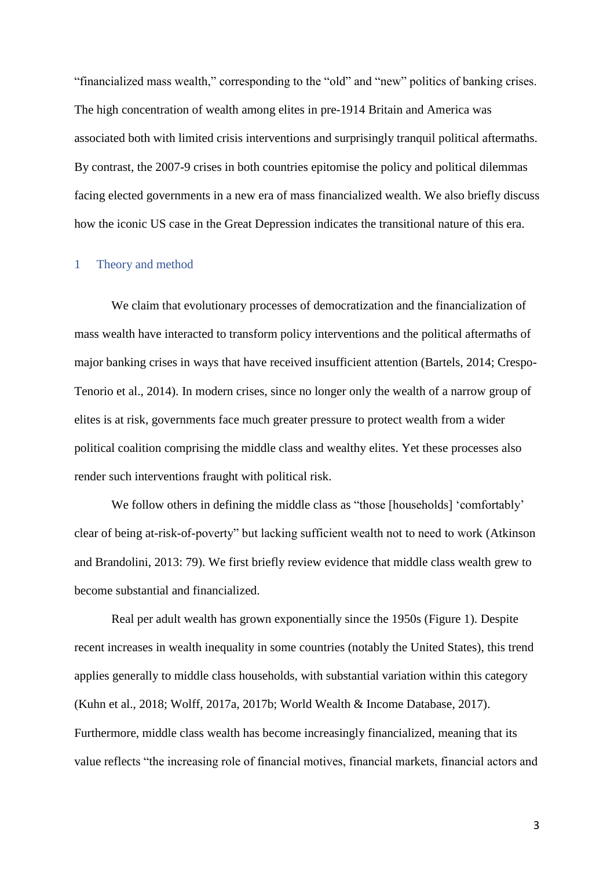"financialized mass wealth," corresponding to the "old" and "new" politics of banking crises. The high concentration of wealth among elites in pre-1914 Britain and America was associated both with limited crisis interventions and surprisingly tranquil political aftermaths. By contrast, the 2007-9 crises in both countries epitomise the policy and political dilemmas facing elected governments in a new era of mass financialized wealth. We also briefly discuss how the iconic US case in the Great Depression indicates the transitional nature of this era.

#### 1 Theory and method

We claim that evolutionary processes of democratization and the financialization of mass wealth have interacted to transform policy interventions and the political aftermaths of major banking crises in ways that have received insufficient attention (Bartels, 2014; Crespo-Tenorio et al., 2014). In modern crises, since no longer only the wealth of a narrow group of elites is at risk, governments face much greater pressure to protect wealth from a wider political coalition comprising the middle class and wealthy elites. Yet these processes also render such interventions fraught with political risk.

We follow others in defining the middle class as "those [households] 'comfortably' clear of being at-risk-of-poverty" but lacking sufficient wealth not to need to work (Atkinson and Brandolini, 2013: 79). We first briefly review evidence that middle class wealth grew to become substantial and financialized.

Real per adult wealth has grown exponentially since the 1950s (Figure 1). Despite recent increases in wealth inequality in some countries (notably the United States), this trend applies generally to middle class households, with substantial variation within this category (Kuhn et al., 2018; Wolff, 2017a, 2017b; World Wealth & Income Database, 2017). Furthermore, middle class wealth has become increasingly financialized, meaning that its value reflects "the increasing role of financial motives, financial markets, financial actors and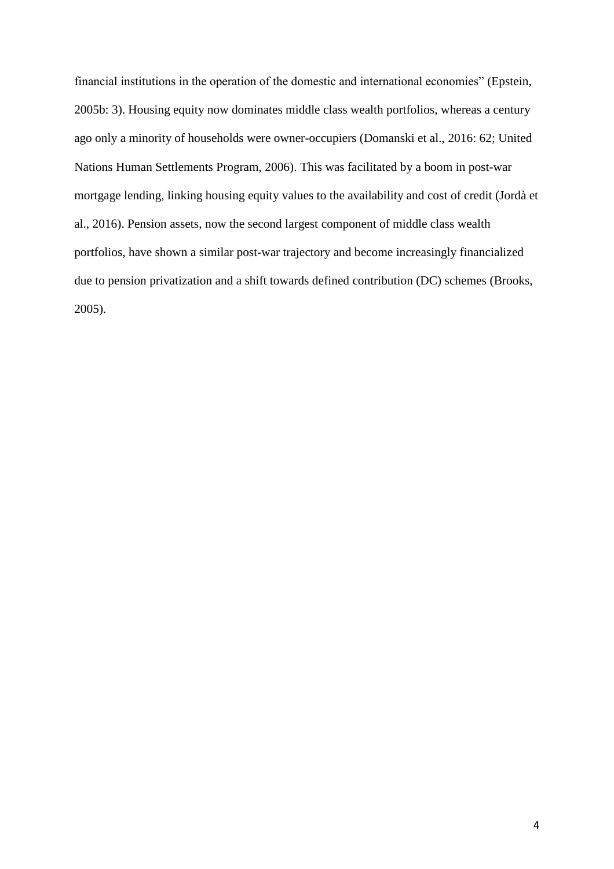financial institutions in the operation of the domestic and international economies" (Epstein, 2005b: 3). Housing equity now dominates middle class wealth portfolios, whereas a century ago only a minority of households were owner-occupiers (Domanski et al., 2016: 62; United Nations Human Settlements Program, 2006). This was facilitated by a boom in post-war mortgage lending, linking housing equity values to the availability and cost of credit (Jordà et al., 2016). Pension assets, now the second largest component of middle class wealth portfolios, have shown a similar post-war trajectory and become increasingly financialized due to pension privatization and a shift towards defined contribution (DC) schemes (Brooks, 2005).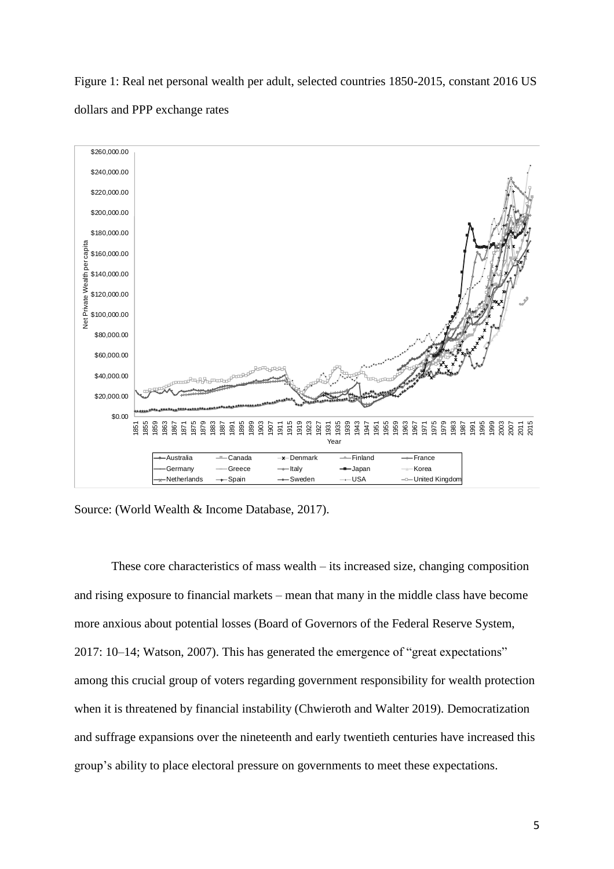Figure 1: Real net personal wealth per adult, selected countries 1850-2015, constant 2016 US dollars and PPP exchange rates



Source: (World Wealth & Income Database, 2017).

These core characteristics of mass wealth – its increased size, changing composition and rising exposure to financial markets – mean that many in the middle class have become more anxious about potential losses (Board of Governors of the Federal Reserve System, 2017: 10–14; Watson, 2007). This has generated the emergence of "great expectations" among this crucial group of voters regarding government responsibility for wealth protection when it is threatened by financial instability (Chwieroth and Walter 2019). Democratization and suffrage expansions over the nineteenth and early twentieth centuries have increased this group's ability to place electoral pressure on governments to meet these expectations.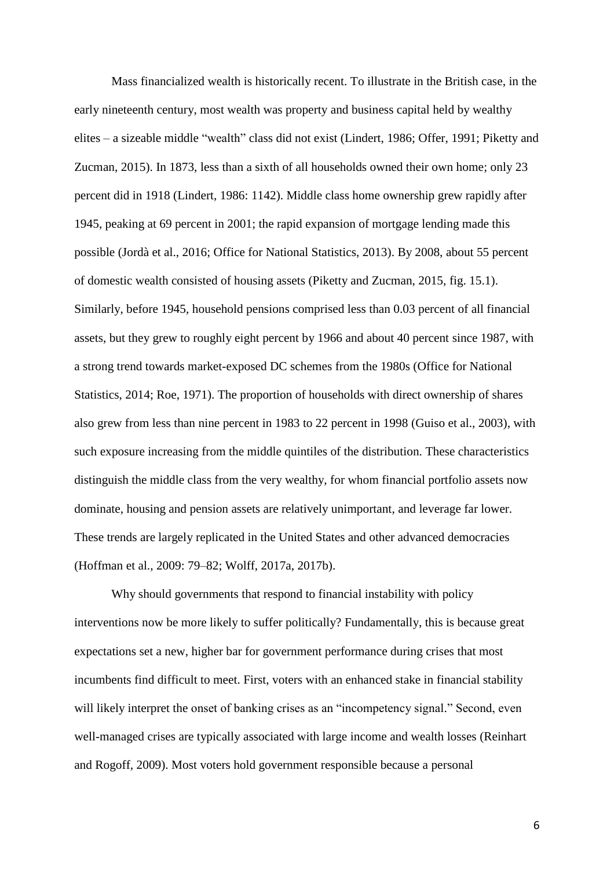Mass financialized wealth is historically recent. To illustrate in the British case, in the early nineteenth century, most wealth was property and business capital held by wealthy elites – a sizeable middle "wealth" class did not exist (Lindert, 1986; Offer, 1991; Piketty and Zucman, 2015). In 1873, less than a sixth of all households owned their own home; only 23 percent did in 1918 (Lindert, 1986: 1142). Middle class home ownership grew rapidly after 1945, peaking at 69 percent in 2001; the rapid expansion of mortgage lending made this possible (Jordà et al., 2016; Office for National Statistics, 2013). By 2008, about 55 percent of domestic wealth consisted of housing assets (Piketty and Zucman, 2015, fig. 15.1). Similarly, before 1945, household pensions comprised less than 0.03 percent of all financial assets, but they grew to roughly eight percent by 1966 and about 40 percent since 1987, with a strong trend towards market-exposed DC schemes from the 1980s (Office for National Statistics, 2014; Roe, 1971). The proportion of households with direct ownership of shares also grew from less than nine percent in 1983 to 22 percent in 1998 (Guiso et al., 2003), with such exposure increasing from the middle quintiles of the distribution. These characteristics distinguish the middle class from the very wealthy, for whom financial portfolio assets now dominate, housing and pension assets are relatively unimportant, and leverage far lower. These trends are largely replicated in the United States and other advanced democracies (Hoffman et al., 2009: 79–82; Wolff, 2017a, 2017b).

Why should governments that respond to financial instability with policy interventions now be more likely to suffer politically? Fundamentally, this is because great expectations set a new, higher bar for government performance during crises that most incumbents find difficult to meet. First, voters with an enhanced stake in financial stability will likely interpret the onset of banking crises as an "incompetency signal." Second, even well-managed crises are typically associated with large income and wealth losses (Reinhart and Rogoff, 2009). Most voters hold government responsible because a personal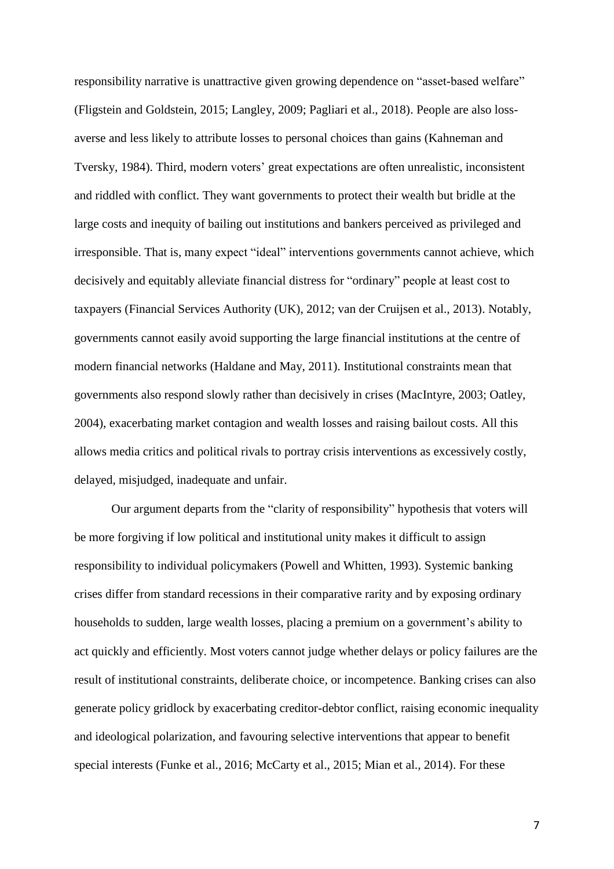responsibility narrative is unattractive given growing dependence on "asset-based welfare" (Fligstein and Goldstein, 2015; Langley, 2009; Pagliari et al., 2018). People are also lossaverse and less likely to attribute losses to personal choices than gains (Kahneman and Tversky, 1984). Third, modern voters' great expectations are often unrealistic, inconsistent and riddled with conflict. They want governments to protect their wealth but bridle at the large costs and inequity of bailing out institutions and bankers perceived as privileged and irresponsible. That is, many expect "ideal" interventions governments cannot achieve, which decisively and equitably alleviate financial distress for "ordinary" people at least cost to taxpayers (Financial Services Authority (UK), 2012; van der Cruijsen et al., 2013). Notably, governments cannot easily avoid supporting the large financial institutions at the centre of modern financial networks (Haldane and May, 2011). Institutional constraints mean that governments also respond slowly rather than decisively in crises (MacIntyre, 2003; Oatley, 2004), exacerbating market contagion and wealth losses and raising bailout costs. All this allows media critics and political rivals to portray crisis interventions as excessively costly, delayed, misjudged, inadequate and unfair.

Our argument departs from the "clarity of responsibility" hypothesis that voters will be more forgiving if low political and institutional unity makes it difficult to assign responsibility to individual policymakers (Powell and Whitten, 1993). Systemic banking crises differ from standard recessions in their comparative rarity and by exposing ordinary households to sudden, large wealth losses, placing a premium on a government's ability to act quickly and efficiently. Most voters cannot judge whether delays or policy failures are the result of institutional constraints, deliberate choice, or incompetence. Banking crises can also generate policy gridlock by exacerbating creditor-debtor conflict, raising economic inequality and ideological polarization, and favouring selective interventions that appear to benefit special interests (Funke et al., 2016; McCarty et al., 2015; Mian et al., 2014). For these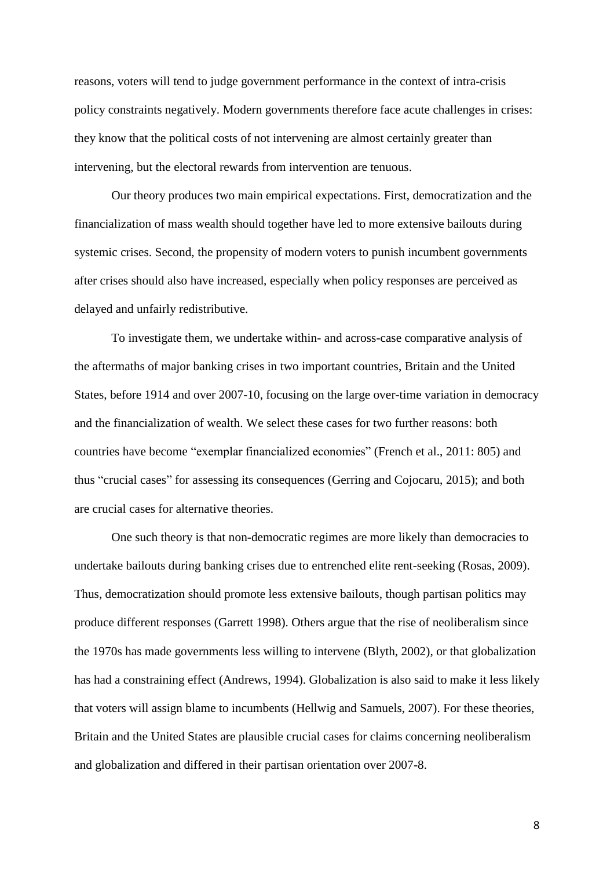reasons, voters will tend to judge government performance in the context of intra-crisis policy constraints negatively. Modern governments therefore face acute challenges in crises: they know that the political costs of not intervening are almost certainly greater than intervening, but the electoral rewards from intervention are tenuous.

Our theory produces two main empirical expectations. First, democratization and the financialization of mass wealth should together have led to more extensive bailouts during systemic crises. Second, the propensity of modern voters to punish incumbent governments after crises should also have increased, especially when policy responses are perceived as delayed and unfairly redistributive.

To investigate them, we undertake within- and across-case comparative analysis of the aftermaths of major banking crises in two important countries, Britain and the United States, before 1914 and over 2007-10, focusing on the large over-time variation in democracy and the financialization of wealth. We select these cases for two further reasons: both countries have become "exemplar financialized economies" (French et al., 2011: 805) and thus "crucial cases" for assessing its consequences (Gerring and Cojocaru, 2015); and both are crucial cases for alternative theories.

One such theory is that non-democratic regimes are more likely than democracies to undertake bailouts during banking crises due to entrenched elite rent-seeking (Rosas, 2009). Thus, democratization should promote less extensive bailouts, though partisan politics may produce different responses (Garrett 1998). Others argue that the rise of neoliberalism since the 1970s has made governments less willing to intervene (Blyth, 2002), or that globalization has had a constraining effect (Andrews, 1994). Globalization is also said to make it less likely that voters will assign blame to incumbents (Hellwig and Samuels, 2007). For these theories, Britain and the United States are plausible crucial cases for claims concerning neoliberalism and globalization and differed in their partisan orientation over 2007-8.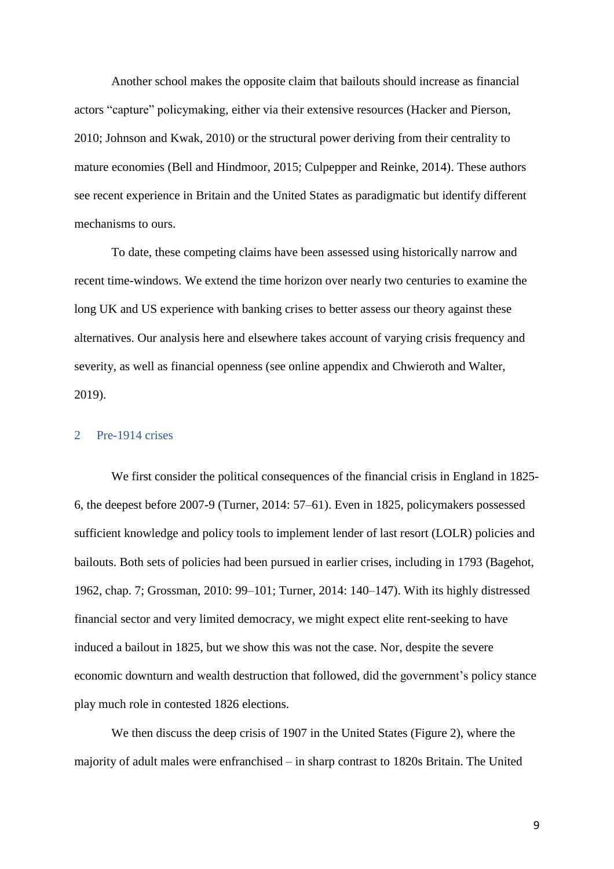Another school makes the opposite claim that bailouts should increase as financial actors "capture" policymaking, either via their extensive resources (Hacker and Pierson, 2010; Johnson and Kwak, 2010) or the structural power deriving from their centrality to mature economies (Bell and Hindmoor, 2015; Culpepper and Reinke, 2014). These authors see recent experience in Britain and the United States as paradigmatic but identify different mechanisms to ours.

To date, these competing claims have been assessed using historically narrow and recent time-windows. We extend the time horizon over nearly two centuries to examine the long UK and US experience with banking crises to better assess our theory against these alternatives. Our analysis here and elsewhere takes account of varying crisis frequency and severity, as well as financial openness (see online appendix and Chwieroth and Walter, 2019).

# 2 Pre-1914 crises

We first consider the political consequences of the financial crisis in England in 1825- 6, the deepest before 2007-9 (Turner, 2014: 57–61). Even in 1825, policymakers possessed sufficient knowledge and policy tools to implement lender of last resort (LOLR) policies and bailouts. Both sets of policies had been pursued in earlier crises, including in 1793 (Bagehot, 1962, chap. 7; Grossman, 2010: 99–101; Turner, 2014: 140–147). With its highly distressed financial sector and very limited democracy, we might expect elite rent-seeking to have induced a bailout in 1825, but we show this was not the case. Nor, despite the severe economic downturn and wealth destruction that followed, did the government's policy stance play much role in contested 1826 elections.

We then discuss the deep crisis of 1907 in the United States (Figure 2), where the majority of adult males were enfranchised – in sharp contrast to 1820s Britain. The United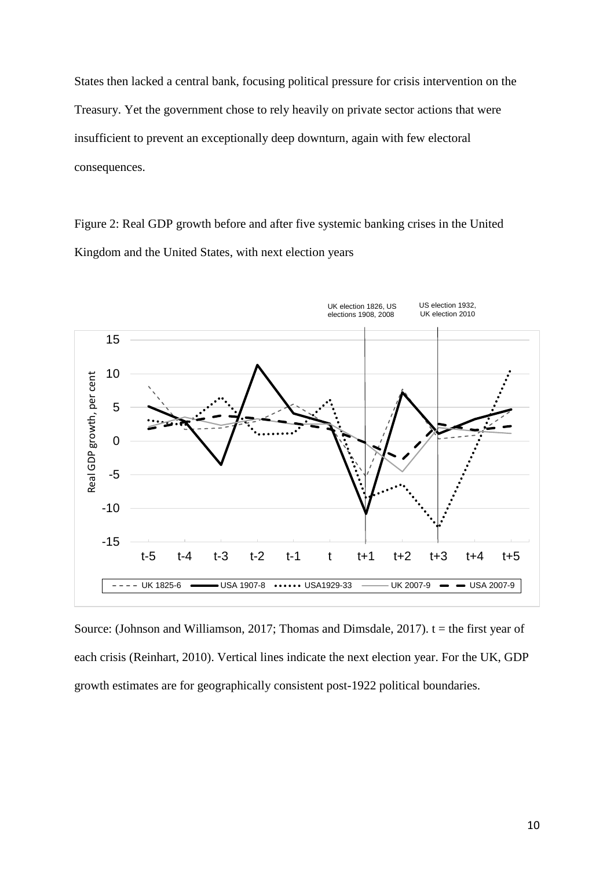States then lacked a central bank, focusing political pressure for crisis intervention on the Treasury. Yet the government chose to rely heavily on private sector actions that were insufficient to prevent an exceptionally deep downturn, again with few electoral consequences.

Figure 2: Real GDP growth before and after five systemic banking crises in the United Kingdom and the United States, with next election years



Source: (Johnson and Williamson, 2017; Thomas and Dimsdale, 2017).  $t =$  the first year of each crisis (Reinhart, 2010). Vertical lines indicate the next election year. For the UK, GDP growth estimates are for geographically consistent post-1922 political boundaries.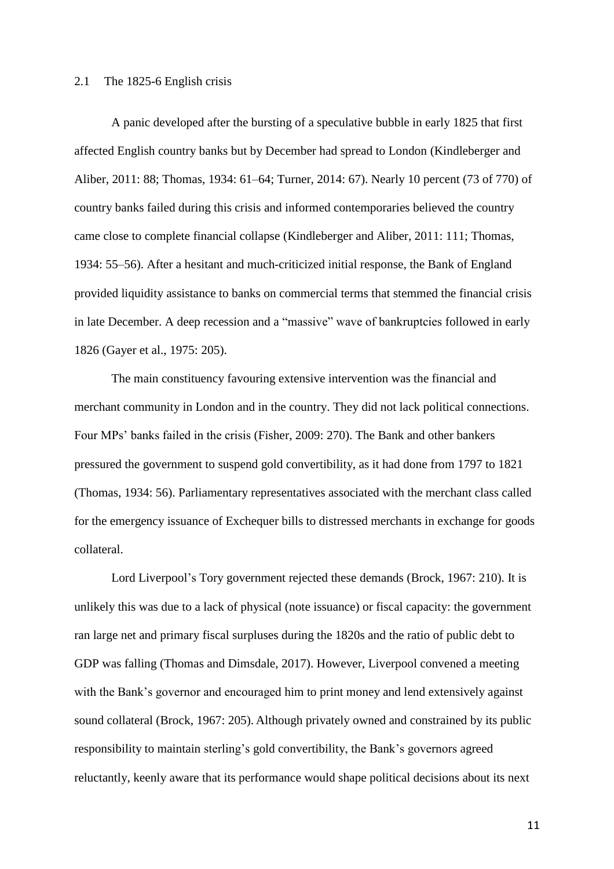#### 2.1 The 1825-6 English crisis

A panic developed after the bursting of a speculative bubble in early 1825 that first affected English country banks but by December had spread to London (Kindleberger and Aliber, 2011: 88; Thomas, 1934: 61–64; Turner, 2014: 67). Nearly 10 percent (73 of 770) of country banks failed during this crisis and informed contemporaries believed the country came close to complete financial collapse (Kindleberger and Aliber, 2011: 111; Thomas, 1934: 55–56). After a hesitant and much-criticized initial response, the Bank of England provided liquidity assistance to banks on commercial terms that stemmed the financial crisis in late December. A deep recession and a "massive" wave of bankruptcies followed in early 1826 (Gayer et al., 1975: 205).

The main constituency favouring extensive intervention was the financial and merchant community in London and in the country. They did not lack political connections. Four MPs' banks failed in the crisis (Fisher, 2009: 270). The Bank and other bankers pressured the government to suspend gold convertibility, as it had done from 1797 to 1821 (Thomas, 1934: 56). Parliamentary representatives associated with the merchant class called for the emergency issuance of Exchequer bills to distressed merchants in exchange for goods collateral.

Lord Liverpool's Tory government rejected these demands (Brock, 1967: 210). It is unlikely this was due to a lack of physical (note issuance) or fiscal capacity: the government ran large net and primary fiscal surpluses during the 1820s and the ratio of public debt to GDP was falling (Thomas and Dimsdale, 2017). However, Liverpool convened a meeting with the Bank's governor and encouraged him to print money and lend extensively against sound collateral (Brock, 1967: 205). Although privately owned and constrained by its public responsibility to maintain sterling's gold convertibility, the Bank's governors agreed reluctantly, keenly aware that its performance would shape political decisions about its next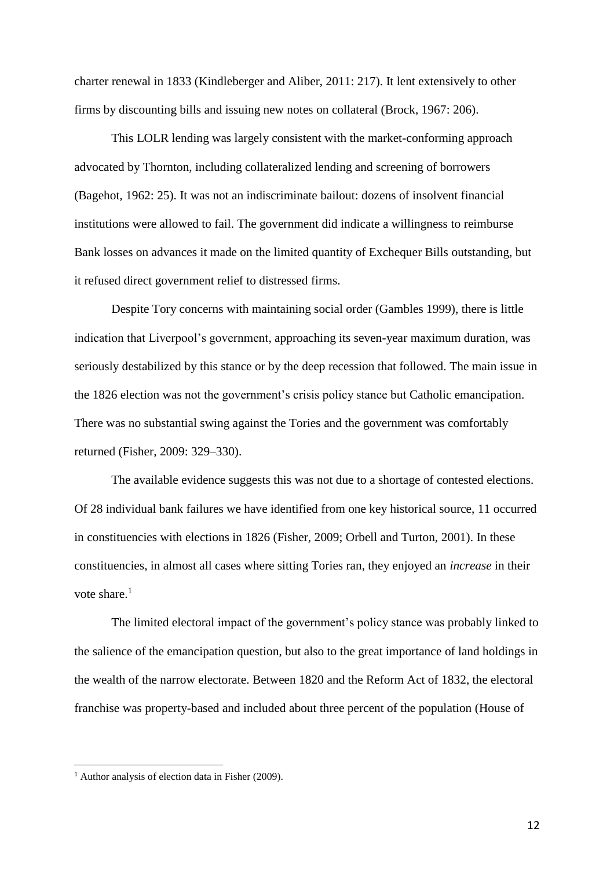charter renewal in 1833 (Kindleberger and Aliber, 2011: 217). It lent extensively to other firms by discounting bills and issuing new notes on collateral (Brock, 1967: 206).

This LOLR lending was largely consistent with the market-conforming approach advocated by Thornton, including collateralized lending and screening of borrowers (Bagehot, 1962: 25). It was not an indiscriminate bailout: dozens of insolvent financial institutions were allowed to fail. The government did indicate a willingness to reimburse Bank losses on advances it made on the limited quantity of Exchequer Bills outstanding, but it refused direct government relief to distressed firms.

Despite Tory concerns with maintaining social order (Gambles 1999), there is little indication that Liverpool's government, approaching its seven-year maximum duration, was seriously destabilized by this stance or by the deep recession that followed. The main issue in the 1826 election was not the government's crisis policy stance but Catholic emancipation. There was no substantial swing against the Tories and the government was comfortably returned (Fisher, 2009: 329–330).

The available evidence suggests this was not due to a shortage of contested elections. Of 28 individual bank failures we have identified from one key historical source, 11 occurred in constituencies with elections in 1826 (Fisher, 2009; Orbell and Turton, 2001). In these constituencies, in almost all cases where sitting Tories ran, they enjoyed an *increase* in their vote share.<sup>1</sup>

The limited electoral impact of the government's policy stance was probably linked to the salience of the emancipation question, but also to the great importance of land holdings in the wealth of the narrow electorate. Between 1820 and the Reform Act of 1832, the electoral franchise was property-based and included about three percent of the population (House of

 $\overline{a}$ 

 $<sup>1</sup>$  Author analysis of election data in Fisher (2009).</sup>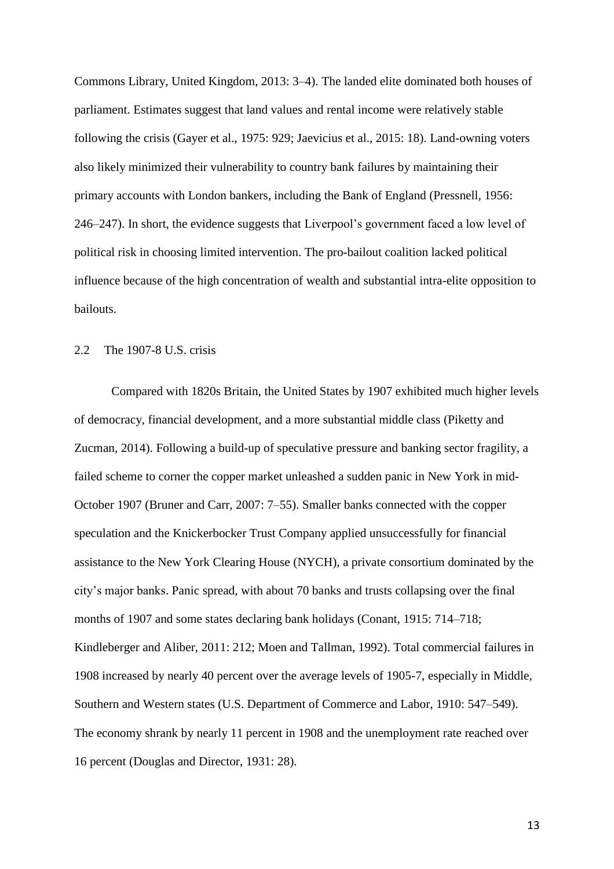Commons Library, United Kingdom, 2013: 3–4). The landed elite dominated both houses of parliament. Estimates suggest that land values and rental income were relatively stable following the crisis (Gayer et al., 1975: 929; Jaevicius et al., 2015: 18). Land-owning voters also likely minimized their vulnerability to country bank failures by maintaining their primary accounts with London bankers, including the Bank of England (Pressnell, 1956: 246–247). In short, the evidence suggests that Liverpool's government faced a low level of political risk in choosing limited intervention. The pro-bailout coalition lacked political influence because of the high concentration of wealth and substantial intra-elite opposition to bailouts.

#### 2.2 The 1907-8 U.S. crisis

Compared with 1820s Britain, the United States by 1907 exhibited much higher levels of democracy, financial development, and a more substantial middle class (Piketty and Zucman, 2014). Following a build-up of speculative pressure and banking sector fragility, a failed scheme to corner the copper market unleashed a sudden panic in New York in mid-October 1907 (Bruner and Carr, 2007: 7–55). Smaller banks connected with the copper speculation and the Knickerbocker Trust Company applied unsuccessfully for financial assistance to the New York Clearing House (NYCH), a private consortium dominated by the city's major banks. Panic spread, with about 70 banks and trusts collapsing over the final months of 1907 and some states declaring bank holidays (Conant, 1915: 714–718; Kindleberger and Aliber, 2011: 212; Moen and Tallman, 1992). Total commercial failures in 1908 increased by nearly 40 percent over the average levels of 1905-7, especially in Middle, Southern and Western states (U.S. Department of Commerce and Labor, 1910: 547–549). The economy shrank by nearly 11 percent in 1908 and the unemployment rate reached over 16 percent (Douglas and Director, 1931: 28).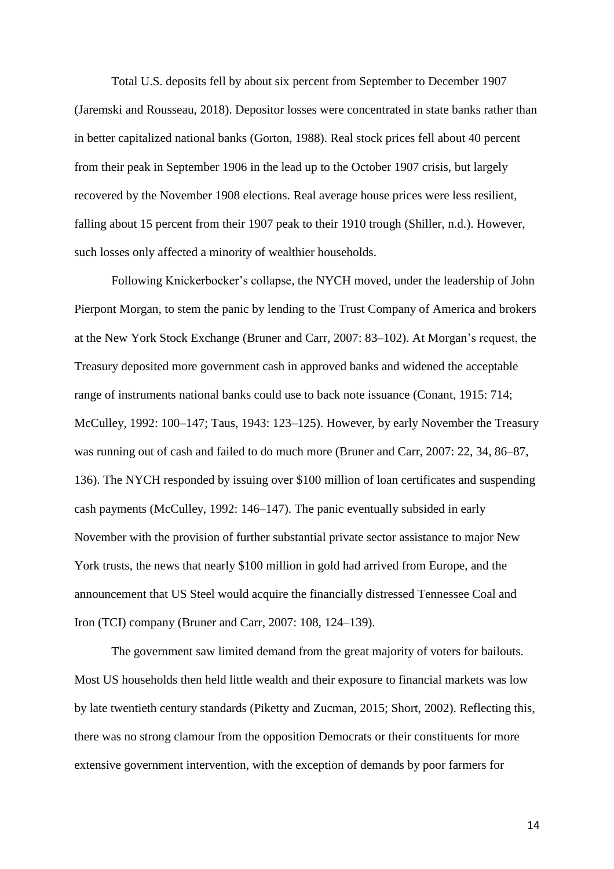Total U.S. deposits fell by about six percent from September to December 1907 (Jaremski and Rousseau, 2018). Depositor losses were concentrated in state banks rather than in better capitalized national banks (Gorton, 1988). Real stock prices fell about 40 percent from their peak in September 1906 in the lead up to the October 1907 crisis, but largely recovered by the November 1908 elections. Real average house prices were less resilient, falling about 15 percent from their 1907 peak to their 1910 trough (Shiller, n.d.). However, such losses only affected a minority of wealthier households.

Following Knickerbocker's collapse, the NYCH moved, under the leadership of John Pierpont Morgan, to stem the panic by lending to the Trust Company of America and brokers at the New York Stock Exchange (Bruner and Carr, 2007: 83–102). At Morgan's request, the Treasury deposited more government cash in approved banks and widened the acceptable range of instruments national banks could use to back note issuance (Conant, 1915: 714; McCulley, 1992: 100–147; Taus, 1943: 123–125). However, by early November the Treasury was running out of cash and failed to do much more (Bruner and Carr, 2007: 22, 34, 86–87, 136). The NYCH responded by issuing over \$100 million of loan certificates and suspending cash payments (McCulley, 1992: 146–147). The panic eventually subsided in early November with the provision of further substantial private sector assistance to major New York trusts, the news that nearly \$100 million in gold had arrived from Europe, and the announcement that US Steel would acquire the financially distressed Tennessee Coal and Iron (TCI) company (Bruner and Carr, 2007: 108, 124–139).

The government saw limited demand from the great majority of voters for bailouts. Most US households then held little wealth and their exposure to financial markets was low by late twentieth century standards (Piketty and Zucman, 2015; Short, 2002). Reflecting this, there was no strong clamour from the opposition Democrats or their constituents for more extensive government intervention, with the exception of demands by poor farmers for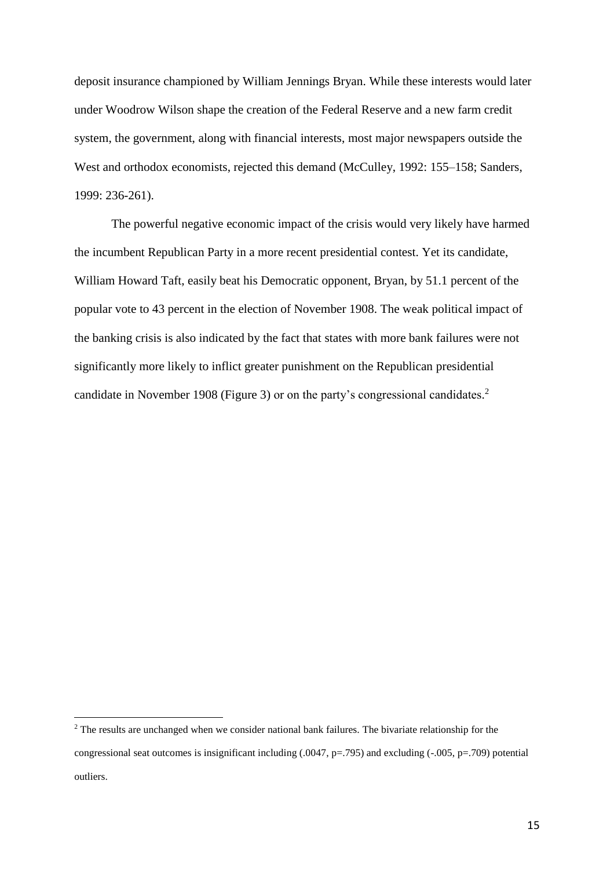deposit insurance championed by William Jennings Bryan. While these interests would later under Woodrow Wilson shape the creation of the Federal Reserve and a new farm credit system, the government, along with financial interests, most major newspapers outside the West and orthodox economists, rejected this demand (McCulley, 1992: 155–158; Sanders, 1999: 236-261).

The powerful negative economic impact of the crisis would very likely have harmed the incumbent Republican Party in a more recent presidential contest. Yet its candidate, William Howard Taft, easily beat his Democratic opponent, Bryan, by 51.1 percent of the popular vote to 43 percent in the election of November 1908. The weak political impact of the banking crisis is also indicated by the fact that states with more bank failures were not significantly more likely to inflict greater punishment on the Republican presidential candidate in November 1908 (Figure 3) or on the party's congressional candidates. 2

 $\overline{a}$ <sup>2</sup> The results are unchanged when we consider national bank failures. The bivariate relationship for the congressional seat outcomes is insignificant including (.0047, p=.795) and excluding (-.005, p=.709) potential outliers.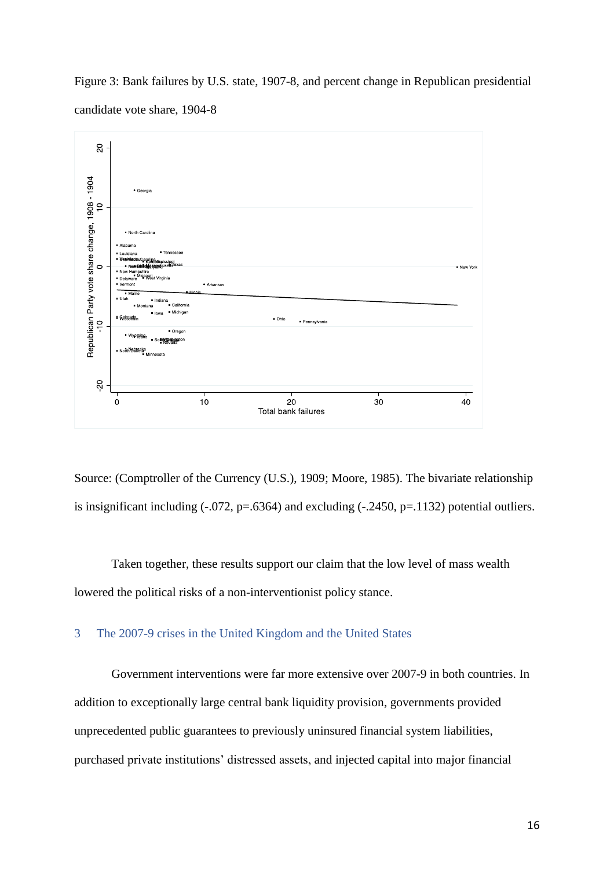Figure 3: Bank failures by U.S. state, 1907-8, and percent change in Republican presidential candidate vote share, 1904-8



Source: (Comptroller of the Currency (U.S.), 1909; Moore, 1985). The bivariate relationship is insignificant including  $(-.072, p=.6364)$  and excluding  $(-.2450, p=.1132)$  potential outliers.

Taken together, these results support our claim that the low level of mass wealth lowered the political risks of a non-interventionist policy stance.

# 3 The 2007-9 crises in the United Kingdom and the United States

Government interventions were far more extensive over 2007-9 in both countries. In addition to exceptionally large central bank liquidity provision, governments provided unprecedented public guarantees to previously uninsured financial system liabilities, purchased private institutions' distressed assets, and injected capital into major financial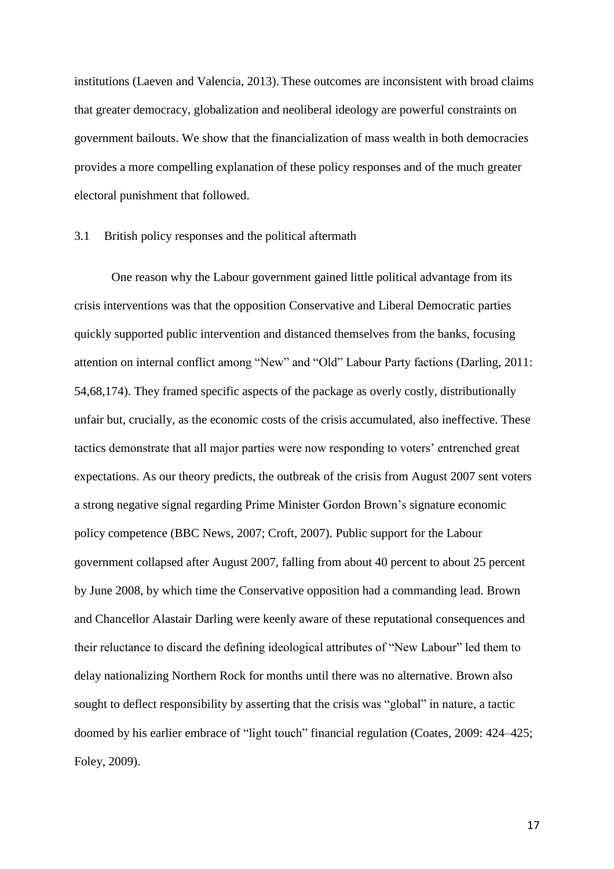institutions (Laeven and Valencia, 2013). These outcomes are inconsistent with broad claims that greater democracy, globalization and neoliberal ideology are powerful constraints on government bailouts. We show that the financialization of mass wealth in both democracies provides a more compelling explanation of these policy responses and of the much greater electoral punishment that followed.

### 3.1 British policy responses and the political aftermath

One reason why the Labour government gained little political advantage from its crisis interventions was that the opposition Conservative and Liberal Democratic parties quickly supported public intervention and distanced themselves from the banks, focusing attention on internal conflict among "New" and "Old" Labour Party factions (Darling, 2011: 54,68,174). They framed specific aspects of the package as overly costly, distributionally unfair but, crucially, as the economic costs of the crisis accumulated, also ineffective. These tactics demonstrate that all major parties were now responding to voters' entrenched great expectations. As our theory predicts, the outbreak of the crisis from August 2007 sent voters a strong negative signal regarding Prime Minister Gordon Brown's signature economic policy competence (BBC News, 2007; Croft, 2007). Public support for the Labour government collapsed after August 2007, falling from about 40 percent to about 25 percent by June 2008, by which time the Conservative opposition had a commanding lead. Brown and Chancellor Alastair Darling were keenly aware of these reputational consequences and their reluctance to discard the defining ideological attributes of "New Labour" led them to delay nationalizing Northern Rock for months until there was no alternative. Brown also sought to deflect responsibility by asserting that the crisis was "global" in nature, a tactic doomed by his earlier embrace of "light touch" financial regulation (Coates, 2009: 424–425; Foley, 2009).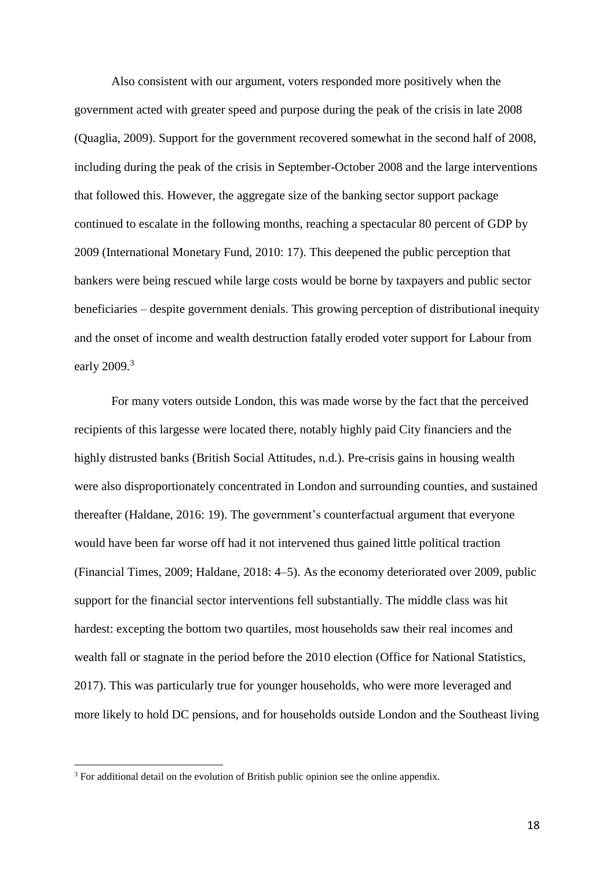Also consistent with our argument, voters responded more positively when the government acted with greater speed and purpose during the peak of the crisis in late 2008 (Quaglia, 2009). Support for the government recovered somewhat in the second half of 2008, including during the peak of the crisis in September-October 2008 and the large interventions that followed this. However, the aggregate size of the banking sector support package continued to escalate in the following months, reaching a spectacular 80 percent of GDP by 2009 (International Monetary Fund, 2010: 17). This deepened the public perception that bankers were being rescued while large costs would be borne by taxpayers and public sector beneficiaries – despite government denials. This growing perception of distributional inequity and the onset of income and wealth destruction fatally eroded voter support for Labour from early 2009.<sup>3</sup>

For many voters outside London, this was made worse by the fact that the perceived recipients of this largesse were located there, notably highly paid City financiers and the highly distrusted banks (British Social Attitudes, n.d.). Pre-crisis gains in housing wealth were also disproportionately concentrated in London and surrounding counties, and sustained thereafter (Haldane, 2016: 19). The government's counterfactual argument that everyone would have been far worse off had it not intervened thus gained little political traction (Financial Times, 2009; Haldane, 2018: 4–5). As the economy deteriorated over 2009, public support for the financial sector interventions fell substantially. The middle class was hit hardest: excepting the bottom two quartiles, most households saw their real incomes and wealth fall or stagnate in the period before the 2010 election (Office for National Statistics, 2017). This was particularly true for younger households, who were more leveraged and more likely to hold DC pensions, and for households outside London and the Southeast living

 $\overline{a}$ 

<sup>&</sup>lt;sup>3</sup> For additional detail on the evolution of British public opinion see the online appendix.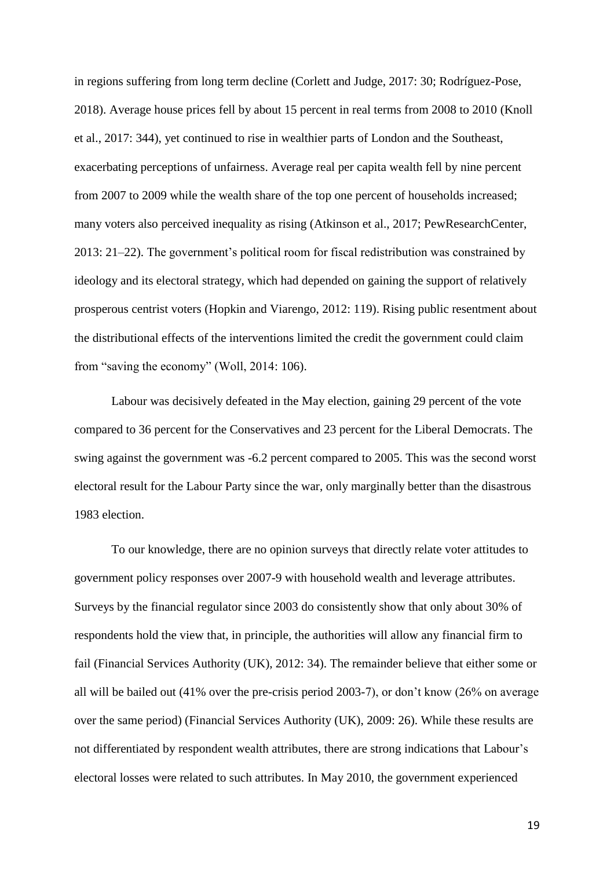in regions suffering from long term decline (Corlett and Judge, 2017: 30; Rodríguez-Pose, 2018). Average house prices fell by about 15 percent in real terms from 2008 to 2010 (Knoll et al., 2017: 344), yet continued to rise in wealthier parts of London and the Southeast, exacerbating perceptions of unfairness. Average real per capita wealth fell by nine percent from 2007 to 2009 while the wealth share of the top one percent of households increased; many voters also perceived inequality as rising (Atkinson et al., 2017; PewResearchCenter, 2013: 21–22). The government's political room for fiscal redistribution was constrained by ideology and its electoral strategy, which had depended on gaining the support of relatively prosperous centrist voters (Hopkin and Viarengo, 2012: 119). Rising public resentment about the distributional effects of the interventions limited the credit the government could claim from "saving the economy" (Woll, 2014: 106).

Labour was decisively defeated in the May election, gaining 29 percent of the vote compared to 36 percent for the Conservatives and 23 percent for the Liberal Democrats. The swing against the government was -6.2 percent compared to 2005. This was the second worst electoral result for the Labour Party since the war, only marginally better than the disastrous 1983 election.

To our knowledge, there are no opinion surveys that directly relate voter attitudes to government policy responses over 2007-9 with household wealth and leverage attributes. Surveys by the financial regulator since 2003 do consistently show that only about 30% of respondents hold the view that, in principle, the authorities will allow any financial firm to fail (Financial Services Authority (UK), 2012: 34). The remainder believe that either some or all will be bailed out (41% over the pre-crisis period 2003-7), or don't know (26% on average over the same period) (Financial Services Authority (UK), 2009: 26). While these results are not differentiated by respondent wealth attributes, there are strong indications that Labour's electoral losses were related to such attributes. In May 2010, the government experienced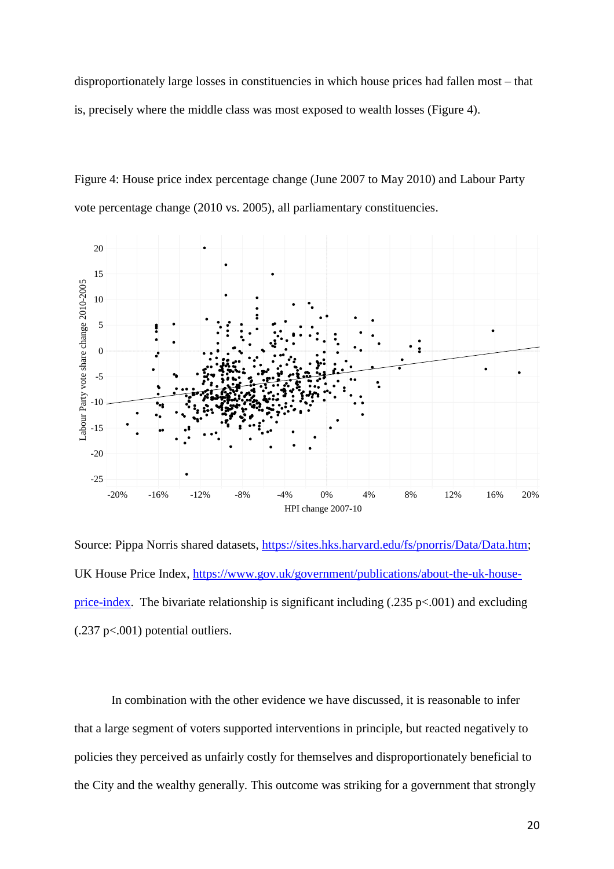disproportionately large losses in constituencies in which house prices had fallen most – that is, precisely where the middle class was most exposed to wealth losses (Figure 4).





Source: Pippa Norris shared datasets, [https://sites.hks.harvard.edu/fs/pnorris/Data/Data.htm;](https://sites.hks.harvard.edu/fs/pnorris/Data/Data.htm) UK House Price Index, [https://www.gov.uk/government/publications/about-the-uk-house](https://www.gov.uk/government/publications/about-the-uk-house-price-index)[price-index.](https://www.gov.uk/government/publications/about-the-uk-house-price-index) The bivariate relationship is significant including  $(.235 \text{ p} < .001)$  and excluding (.237 p<.001) potential outliers.

In combination with the other evidence we have discussed, it is reasonable to infer that a large segment of voters supported interventions in principle, but reacted negatively to policies they perceived as unfairly costly for themselves and disproportionately beneficial to the City and the wealthy generally. This outcome was striking for a government that strongly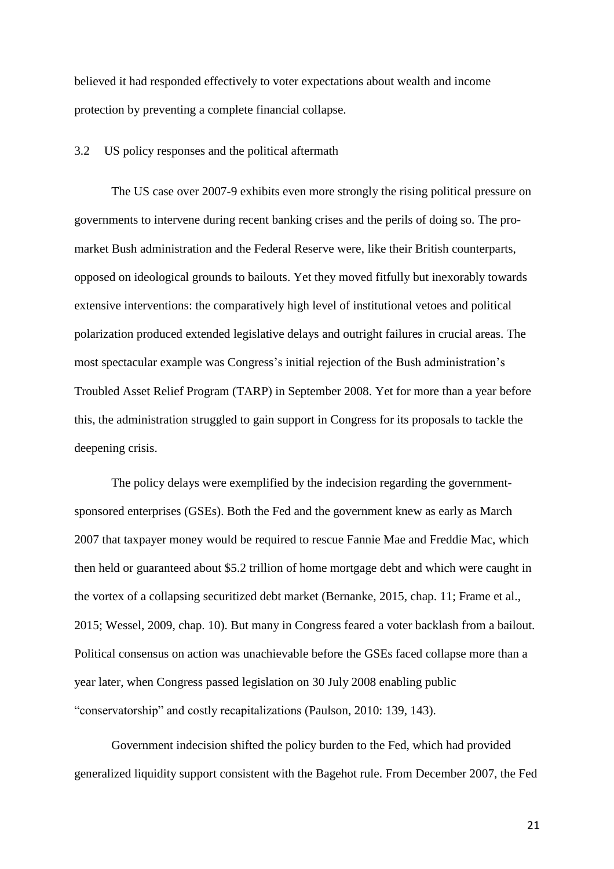believed it had responded effectively to voter expectations about wealth and income protection by preventing a complete financial collapse.

3.2 US policy responses and the political aftermath

The US case over 2007-9 exhibits even more strongly the rising political pressure on governments to intervene during recent banking crises and the perils of doing so. The promarket Bush administration and the Federal Reserve were, like their British counterparts, opposed on ideological grounds to bailouts. Yet they moved fitfully but inexorably towards extensive interventions: the comparatively high level of institutional vetoes and political polarization produced extended legislative delays and outright failures in crucial areas. The most spectacular example was Congress's initial rejection of the Bush administration's Troubled Asset Relief Program (TARP) in September 2008. Yet for more than a year before this, the administration struggled to gain support in Congress for its proposals to tackle the deepening crisis.

The policy delays were exemplified by the indecision regarding the governmentsponsored enterprises (GSEs). Both the Fed and the government knew as early as March 2007 that taxpayer money would be required to rescue Fannie Mae and Freddie Mac, which then held or guaranteed about \$5.2 trillion of home mortgage debt and which were caught in the vortex of a collapsing securitized debt market (Bernanke, 2015, chap. 11; Frame et al., 2015; Wessel, 2009, chap. 10). But many in Congress feared a voter backlash from a bailout. Political consensus on action was unachievable before the GSEs faced collapse more than a year later, when Congress passed legislation on 30 July 2008 enabling public "conservatorship" and costly recapitalizations (Paulson, 2010: 139, 143).

Government indecision shifted the policy burden to the Fed, which had provided generalized liquidity support consistent with the Bagehot rule. From December 2007, the Fed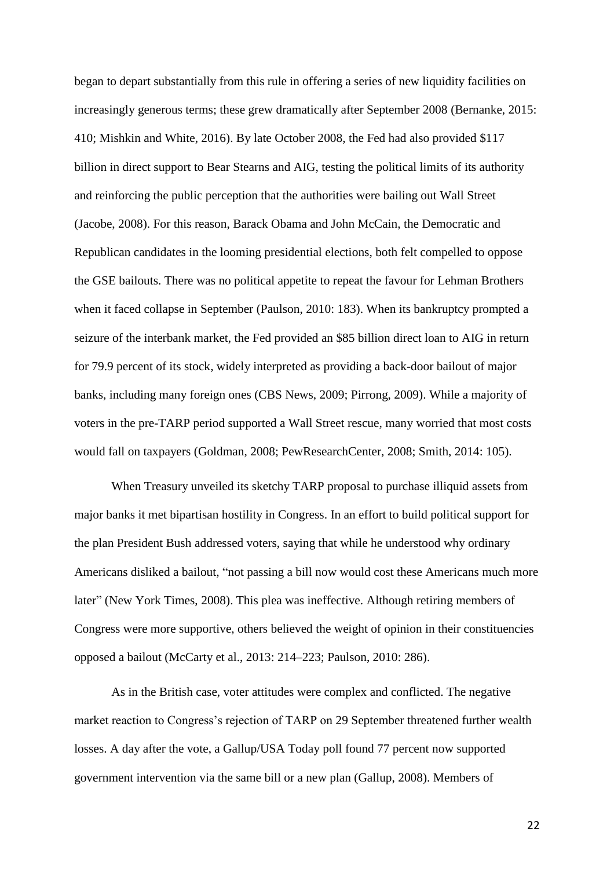began to depart substantially from this rule in offering a series of new liquidity facilities on increasingly generous terms; these grew dramatically after September 2008 (Bernanke, 2015: 410; Mishkin and White, 2016). By late October 2008, the Fed had also provided \$117 billion in direct support to Bear Stearns and AIG, testing the political limits of its authority and reinforcing the public perception that the authorities were bailing out Wall Street (Jacobe, 2008). For this reason, Barack Obama and John McCain, the Democratic and Republican candidates in the looming presidential elections, both felt compelled to oppose the GSE bailouts. There was no political appetite to repeat the favour for Lehman Brothers when it faced collapse in September (Paulson, 2010: 183). When its bankruptcy prompted a seizure of the interbank market, the Fed provided an \$85 billion direct loan to AIG in return for 79.9 percent of its stock, widely interpreted as providing a back-door bailout of major banks, including many foreign ones (CBS News, 2009; Pirrong, 2009). While a majority of voters in the pre-TARP period supported a Wall Street rescue, many worried that most costs would fall on taxpayers (Goldman, 2008; PewResearchCenter, 2008; Smith, 2014: 105).

When Treasury unveiled its sketchy TARP proposal to purchase illiquid assets from major banks it met bipartisan hostility in Congress. In an effort to build political support for the plan President Bush addressed voters, saying that while he understood why ordinary Americans disliked a bailout, "not passing a bill now would cost these Americans much more later" (New York Times, 2008). This plea was ineffective. Although retiring members of Congress were more supportive, others believed the weight of opinion in their constituencies opposed a bailout (McCarty et al., 2013: 214–223; Paulson, 2010: 286).

As in the British case, voter attitudes were complex and conflicted. The negative market reaction to Congress's rejection of TARP on 29 September threatened further wealth losses. A day after the vote, a Gallup/USA Today poll found 77 percent now supported government intervention via the same bill or a new plan (Gallup, 2008). Members of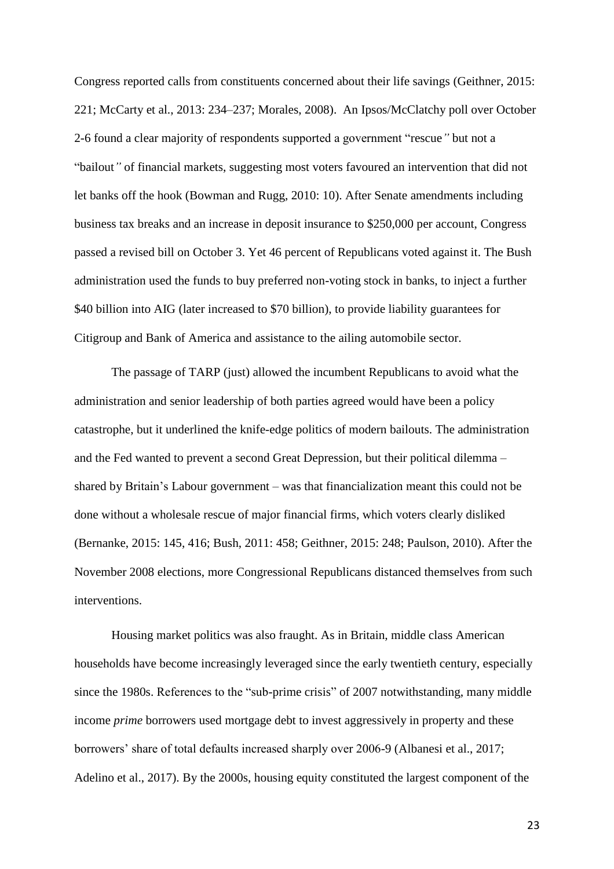Congress reported calls from constituents concerned about their life savings (Geithner, 2015: 221; McCarty et al., 2013: 234–237; Morales, 2008). An Ipsos/McClatchy poll over October 2-6 found a clear majority of respondents supported a government "rescue*"* but not a "bailout*"* of financial markets, suggesting most voters favoured an intervention that did not let banks off the hook (Bowman and Rugg, 2010: 10). After Senate amendments including business tax breaks and an increase in deposit insurance to \$250,000 per account, Congress passed a revised bill on October 3. Yet 46 percent of Republicans voted against it. The Bush administration used the funds to buy preferred non-voting stock in banks, to inject a further \$40 billion into AIG (later increased to \$70 billion), to provide liability guarantees for Citigroup and Bank of America and assistance to the ailing automobile sector.

The passage of TARP (just) allowed the incumbent Republicans to avoid what the administration and senior leadership of both parties agreed would have been a policy catastrophe, but it underlined the knife-edge politics of modern bailouts. The administration and the Fed wanted to prevent a second Great Depression, but their political dilemma – shared by Britain's Labour government – was that financialization meant this could not be done without a wholesale rescue of major financial firms, which voters clearly disliked (Bernanke, 2015: 145, 416; Bush, 2011: 458; Geithner, 2015: 248; Paulson, 2010). After the November 2008 elections, more Congressional Republicans distanced themselves from such interventions.

Housing market politics was also fraught. As in Britain, middle class American households have become increasingly leveraged since the early twentieth century, especially since the 1980s. References to the "sub-prime crisis" of 2007 notwithstanding, many middle income *prime* borrowers used mortgage debt to invest aggressively in property and these borrowers' share of total defaults increased sharply over 2006-9 (Albanesi et al., 2017; Adelino et al., 2017). By the 2000s, housing equity constituted the largest component of the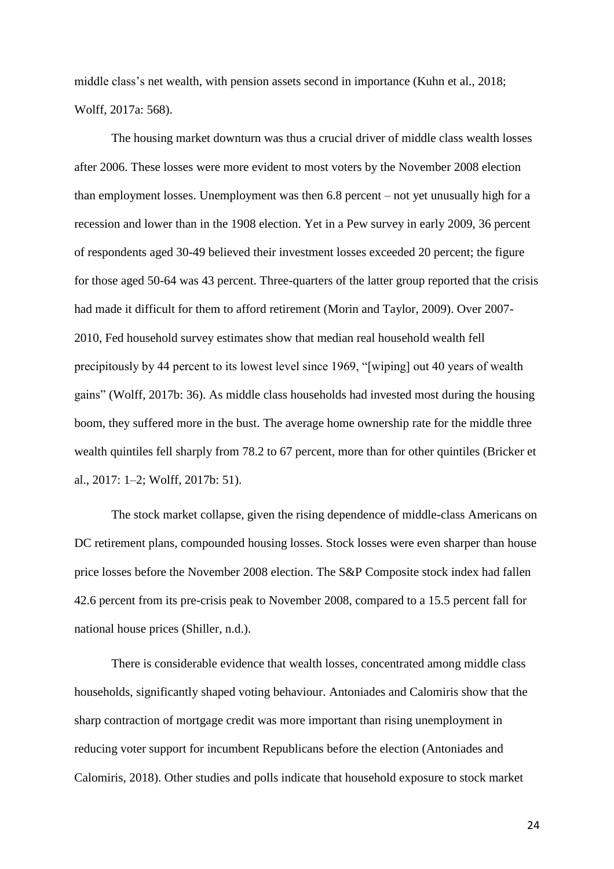middle class's net wealth, with pension assets second in importance (Kuhn et al., 2018; Wolff, 2017a: 568).

The housing market downturn was thus a crucial driver of middle class wealth losses after 2006. These losses were more evident to most voters by the November 2008 election than employment losses. Unemployment was then 6.8 percent – not yet unusually high for a recession and lower than in the 1908 election. Yet in a Pew survey in early 2009, 36 percent of respondents aged 30-49 believed their investment losses exceeded 20 percent; the figure for those aged 50-64 was 43 percent. Three-quarters of the latter group reported that the crisis had made it difficult for them to afford retirement (Morin and Taylor, 2009). Over 2007- 2010, Fed household survey estimates show that median real household wealth fell precipitously by 44 percent to its lowest level since 1969, "[wiping] out 40 years of wealth gains" (Wolff, 2017b: 36). As middle class households had invested most during the housing boom, they suffered more in the bust. The average home ownership rate for the middle three wealth quintiles fell sharply from 78.2 to 67 percent, more than for other quintiles (Bricker et al., 2017: 1–2; Wolff, 2017b: 51).

The stock market collapse, given the rising dependence of middle-class Americans on DC retirement plans, compounded housing losses. Stock losses were even sharper than house price losses before the November 2008 election. The S&P Composite stock index had fallen 42.6 percent from its pre-crisis peak to November 2008, compared to a 15.5 percent fall for national house prices (Shiller, n.d.).

There is considerable evidence that wealth losses, concentrated among middle class households, significantly shaped voting behaviour. Antoniades and Calomiris show that the sharp contraction of mortgage credit was more important than rising unemployment in reducing voter support for incumbent Republicans before the election (Antoniades and Calomiris, 2018). Other studies and polls indicate that household exposure to stock market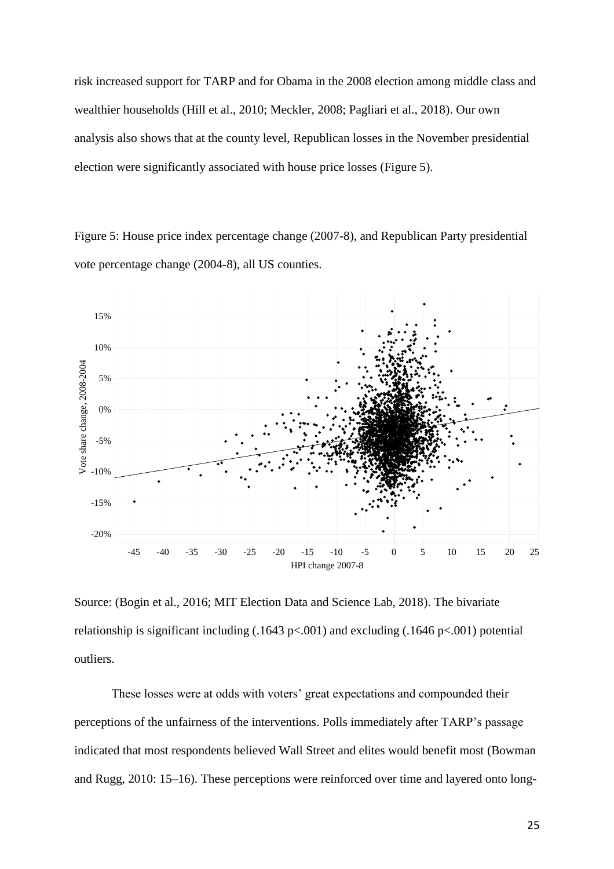risk increased support for TARP and for Obama in the 2008 election among middle class and wealthier households (Hill et al., 2010; Meckler, 2008; Pagliari et al., 2018). Our own analysis also shows that at the county level, Republican losses in the November presidential election were significantly associated with house price losses (Figure 5).

Figure 5: House price index percentage change (2007-8), and Republican Party presidential vote percentage change (2004-8), all US counties.



Source: (Bogin et al., 2016; MIT Election Data and Science Lab, 2018). The bivariate relationship is significant including  $(.1643 \text{ p} < .001)$  and excluding  $(.1646 \text{ p} < .001)$  potential outliers.

These losses were at odds with voters' great expectations and compounded their perceptions of the unfairness of the interventions. Polls immediately after TARP's passage indicated that most respondents believed Wall Street and elites would benefit most (Bowman and Rugg, 2010: 15–16). These perceptions were reinforced over time and layered onto long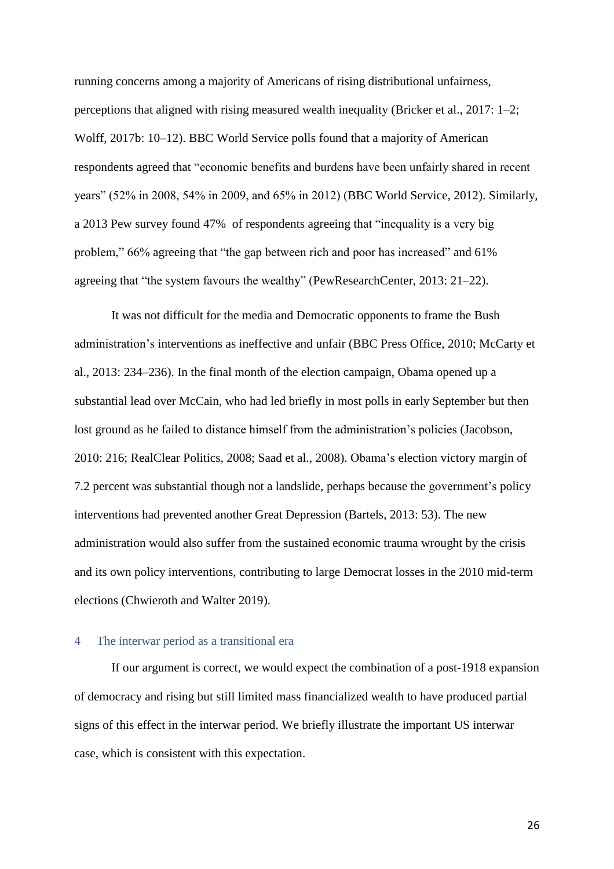running concerns among a majority of Americans of rising distributional unfairness, perceptions that aligned with rising measured wealth inequality (Bricker et al., 2017: 1–2; Wolff, 2017b: 10–12). BBC World Service polls found that a majority of American respondents agreed that "economic benefits and burdens have been unfairly shared in recent years" (52% in 2008, 54% in 2009, and 65% in 2012) (BBC World Service, 2012). Similarly, a 2013 Pew survey found 47% of respondents agreeing that "inequality is a very big problem," 66% agreeing that "the gap between rich and poor has increased" and 61% agreeing that "the system favours the wealthy" (PewResearchCenter, 2013: 21–22).

It was not difficult for the media and Democratic opponents to frame the Bush administration's interventions as ineffective and unfair (BBC Press Office, 2010; McCarty et al., 2013: 234–236). In the final month of the election campaign, Obama opened up a substantial lead over McCain, who had led briefly in most polls in early September but then lost ground as he failed to distance himself from the administration's policies (Jacobson, 2010: 216; RealClear Politics, 2008; Saad et al., 2008). Obama's election victory margin of 7.2 percent was substantial though not a landslide, perhaps because the government's policy interventions had prevented another Great Depression (Bartels, 2013: 53). The new administration would also suffer from the sustained economic trauma wrought by the crisis and its own policy interventions, contributing to large Democrat losses in the 2010 mid-term elections (Chwieroth and Walter 2019).

# 4 The interwar period as a transitional era

If our argument is correct, we would expect the combination of a post-1918 expansion of democracy and rising but still limited mass financialized wealth to have produced partial signs of this effect in the interwar period. We briefly illustrate the important US interwar case, which is consistent with this expectation.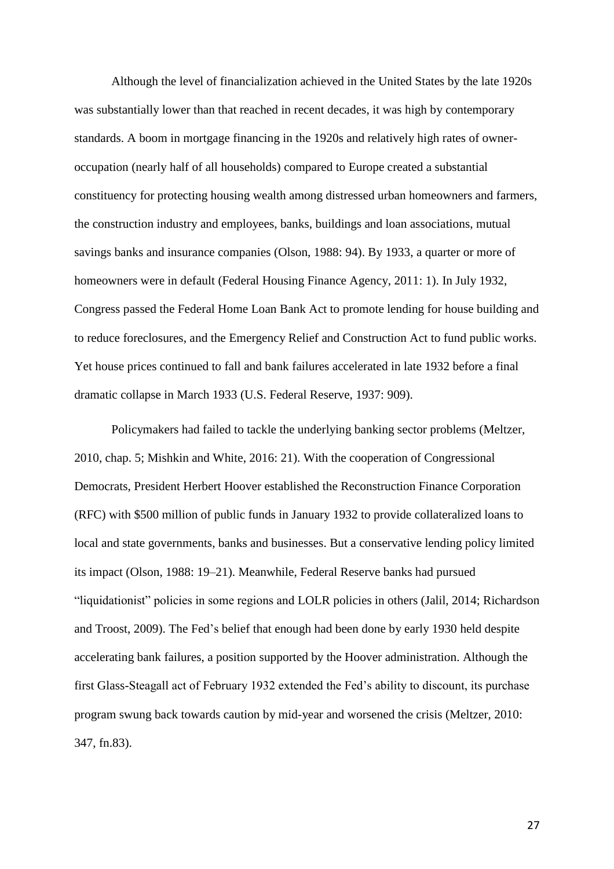Although the level of financialization achieved in the United States by the late 1920s was substantially lower than that reached in recent decades, it was high by contemporary standards. A boom in mortgage financing in the 1920s and relatively high rates of owneroccupation (nearly half of all households) compared to Europe created a substantial constituency for protecting housing wealth among distressed urban homeowners and farmers, the construction industry and employees, banks, buildings and loan associations, mutual savings banks and insurance companies (Olson, 1988: 94). By 1933, a quarter or more of homeowners were in default (Federal Housing Finance Agency, 2011: 1). In July 1932, Congress passed the Federal Home Loan Bank Act to promote lending for house building and to reduce foreclosures, and the Emergency Relief and Construction Act to fund public works. Yet house prices continued to fall and bank failures accelerated in late 1932 before a final dramatic collapse in March 1933 (U.S. Federal Reserve, 1937: 909).

Policymakers had failed to tackle the underlying banking sector problems (Meltzer, 2010, chap. 5; Mishkin and White, 2016: 21). With the cooperation of Congressional Democrats, President Herbert Hoover established the Reconstruction Finance Corporation (RFC) with \$500 million of public funds in January 1932 to provide collateralized loans to local and state governments, banks and businesses. But a conservative lending policy limited its impact (Olson, 1988: 19–21). Meanwhile, Federal Reserve banks had pursued "liquidationist" policies in some regions and LOLR policies in others (Jalil, 2014; Richardson and Troost, 2009). The Fed's belief that enough had been done by early 1930 held despite accelerating bank failures, a position supported by the Hoover administration. Although the first Glass-Steagall act of February 1932 extended the Fed's ability to discount, its purchase program swung back towards caution by mid-year and worsened the crisis (Meltzer, 2010: 347, fn.83).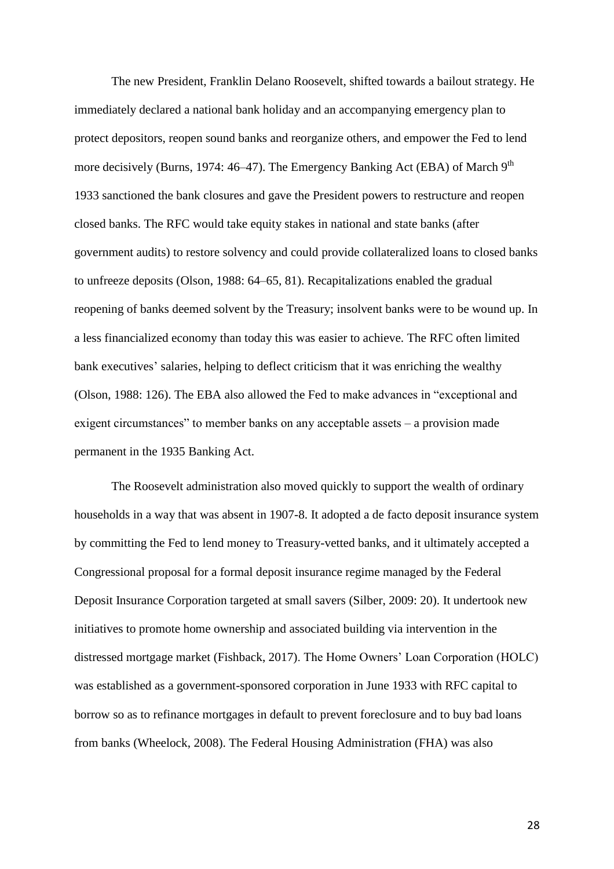The new President, Franklin Delano Roosevelt, shifted towards a bailout strategy. He immediately declared a national bank holiday and an accompanying emergency plan to protect depositors, reopen sound banks and reorganize others, and empower the Fed to lend more decisively (Burns, 1974: 46–47). The Emergency Banking Act (EBA) of March 9<sup>th</sup> 1933 sanctioned the bank closures and gave the President powers to restructure and reopen closed banks. The RFC would take equity stakes in national and state banks (after government audits) to restore solvency and could provide collateralized loans to closed banks to unfreeze deposits (Olson, 1988: 64–65, 81). Recapitalizations enabled the gradual reopening of banks deemed solvent by the Treasury; insolvent banks were to be wound up. In a less financialized economy than today this was easier to achieve. The RFC often limited bank executives' salaries, helping to deflect criticism that it was enriching the wealthy (Olson, 1988: 126). The EBA also allowed the Fed to make advances in "exceptional and exigent circumstances" to member banks on any acceptable assets – a provision made permanent in the 1935 Banking Act.

The Roosevelt administration also moved quickly to support the wealth of ordinary households in a way that was absent in 1907-8. It adopted a de facto deposit insurance system by committing the Fed to lend money to Treasury-vetted banks, and it ultimately accepted a Congressional proposal for a formal deposit insurance regime managed by the Federal Deposit Insurance Corporation targeted at small savers (Silber, 2009: 20). It undertook new initiatives to promote home ownership and associated building via intervention in the distressed mortgage market (Fishback, 2017). The Home Owners' Loan Corporation (HOLC) was established as a government-sponsored corporation in June 1933 with RFC capital to borrow so as to refinance mortgages in default to prevent foreclosure and to buy bad loans from banks (Wheelock, 2008). The Federal Housing Administration (FHA) was also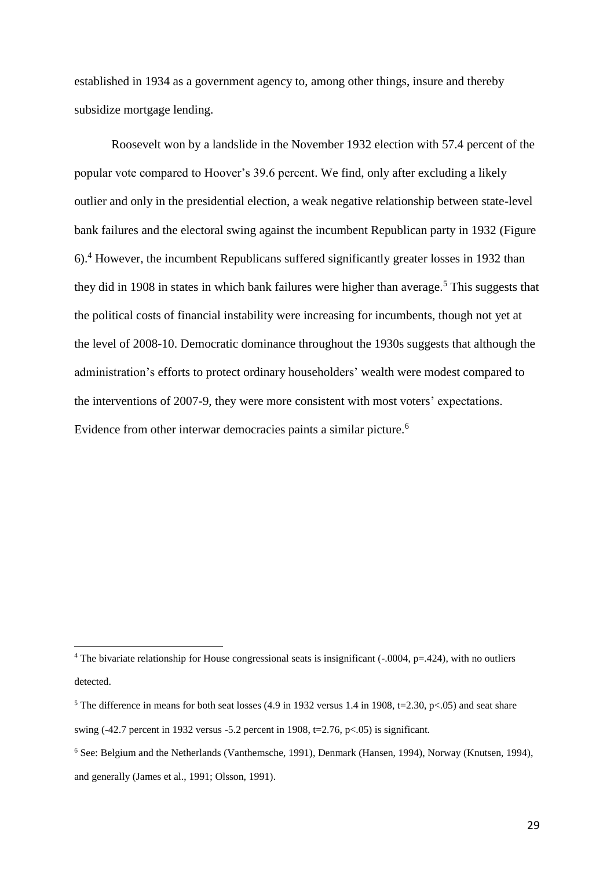established in 1934 as a government agency to, among other things, insure and thereby subsidize mortgage lending.

Roosevelt won by a landslide in the November 1932 election with 57.4 percent of the popular vote compared to Hoover's 39.6 percent. We find, only after excluding a likely outlier and only in the presidential election, a weak negative relationship between state-level bank failures and the electoral swing against the incumbent Republican party in 1932 (Figure 6). <sup>4</sup> However, the incumbent Republicans suffered significantly greater losses in 1932 than they did in 1908 in states in which bank failures were higher than average. <sup>5</sup> This suggests that the political costs of financial instability were increasing for incumbents, though not yet at the level of 2008-10. Democratic dominance throughout the 1930s suggests that although the administration's efforts to protect ordinary householders' wealth were modest compared to the interventions of 2007-9, they were more consistent with most voters' expectations. Evidence from other interwar democracies paints a similar picture.<sup>6</sup>

l

<sup>&</sup>lt;sup>4</sup> The bivariate relationship for House congressional seats is insignificant  $(-0.004, p=424)$ , with no outliers detected.

<sup>&</sup>lt;sup>5</sup> The difference in means for both seat losses (4.9 in 1932 versus 1.4 in 1908, t=2.30, p<.05) and seat share swing  $(-42.7 \text{ percent in } 1932 \text{ versus } -5.2 \text{ percent in } 1908, t=2.76, p<.05)$  is significant.

<sup>6</sup> See: Belgium and the Netherlands (Vanthemsche, 1991), Denmark (Hansen, 1994), Norway (Knutsen, 1994), and generally (James et al., 1991; Olsson, 1991).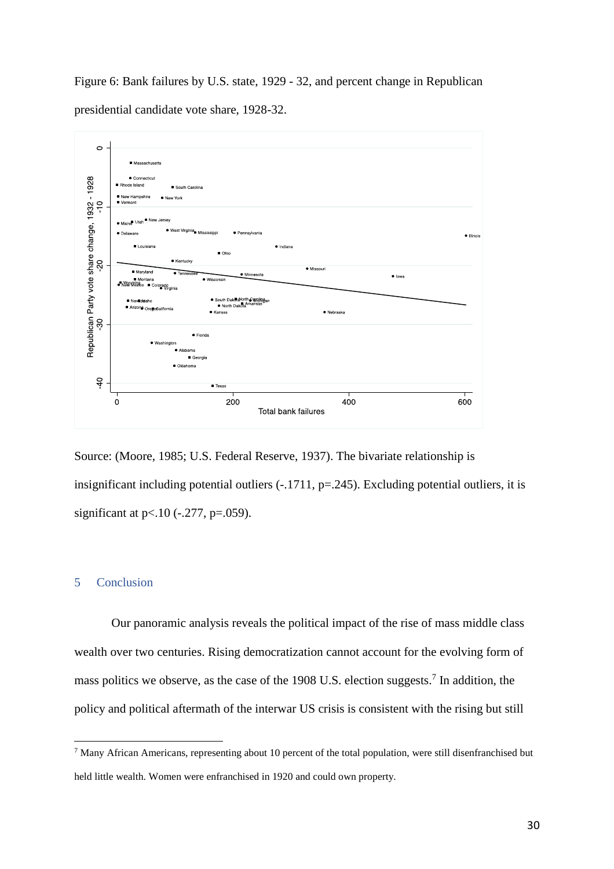Figure 6: Bank failures by U.S. state, 1929 - 32, and percent change in Republican presidential candidate vote share, 1928-32.



Source: (Moore, 1985; U.S. Federal Reserve, 1937). The bivariate relationship is insignificant including potential outliers (-.1711, p=.245). Excluding potential outliers, it is significant at  $p<.10$  (-.277,  $p=.059$ ).

### 5 Conclusion

l

Our panoramic analysis reveals the political impact of the rise of mass middle class wealth over two centuries. Rising democratization cannot account for the evolving form of mass politics we observe, as the case of the 1908 U.S. election suggests.<sup>7</sup> In addition, the policy and political aftermath of the interwar US crisis is consistent with the rising but still

<sup>7</sup> Many African Americans, representing about 10 percent of the total population, were still disenfranchised but held little wealth. Women were enfranchised in 1920 and could own property.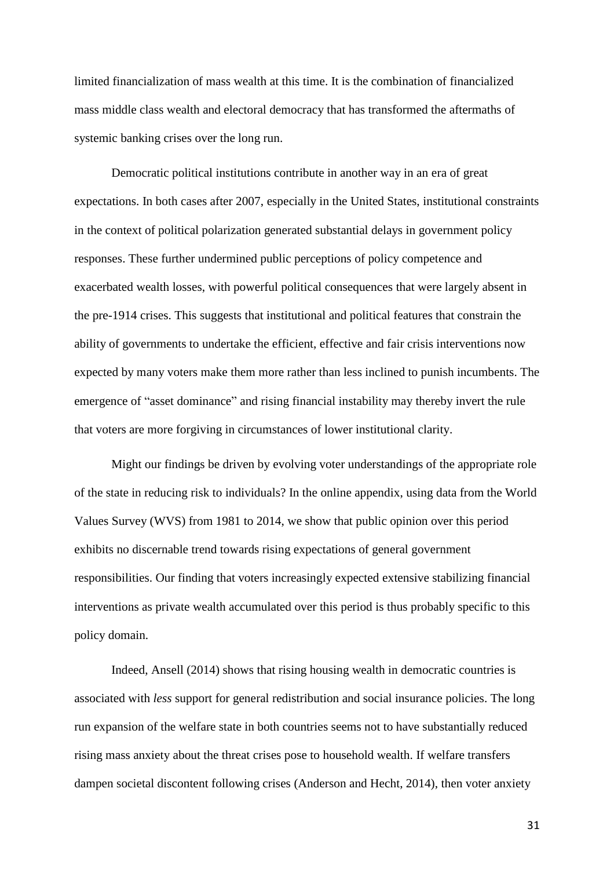limited financialization of mass wealth at this time. It is the combination of financialized mass middle class wealth and electoral democracy that has transformed the aftermaths of systemic banking crises over the long run.

Democratic political institutions contribute in another way in an era of great expectations. In both cases after 2007, especially in the United States, institutional constraints in the context of political polarization generated substantial delays in government policy responses. These further undermined public perceptions of policy competence and exacerbated wealth losses, with powerful political consequences that were largely absent in the pre-1914 crises. This suggests that institutional and political features that constrain the ability of governments to undertake the efficient, effective and fair crisis interventions now expected by many voters make them more rather than less inclined to punish incumbents. The emergence of "asset dominance" and rising financial instability may thereby invert the rule that voters are more forgiving in circumstances of lower institutional clarity.

Might our findings be driven by evolving voter understandings of the appropriate role of the state in reducing risk to individuals? In the online appendix, using data from the World Values Survey (WVS) from 1981 to 2014, we show that public opinion over this period exhibits no discernable trend towards rising expectations of general government responsibilities. Our finding that voters increasingly expected extensive stabilizing financial interventions as private wealth accumulated over this period is thus probably specific to this policy domain.

Indeed, Ansell (2014) shows that rising housing wealth in democratic countries is associated with *less* support for general redistribution and social insurance policies. The long run expansion of the welfare state in both countries seems not to have substantially reduced rising mass anxiety about the threat crises pose to household wealth. If welfare transfers dampen societal discontent following crises (Anderson and Hecht, 2014), then voter anxiety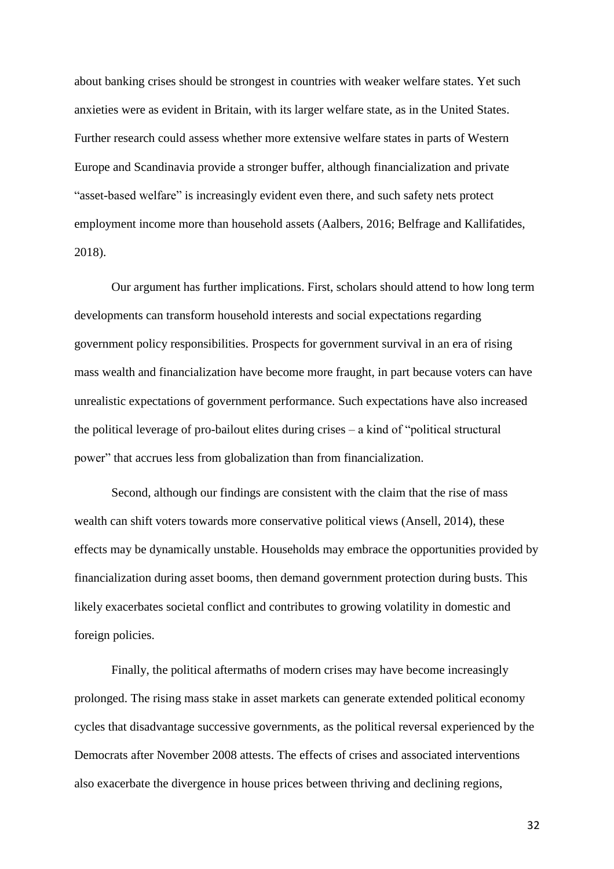about banking crises should be strongest in countries with weaker welfare states. Yet such anxieties were as evident in Britain, with its larger welfare state, as in the United States. Further research could assess whether more extensive welfare states in parts of Western Europe and Scandinavia provide a stronger buffer, although financialization and private "asset-based welfare" is increasingly evident even there, and such safety nets protect employment income more than household assets (Aalbers, 2016; Belfrage and Kallifatides, 2018).

Our argument has further implications. First, scholars should attend to how long term developments can transform household interests and social expectations regarding government policy responsibilities. Prospects for government survival in an era of rising mass wealth and financialization have become more fraught, in part because voters can have unrealistic expectations of government performance. Such expectations have also increased the political leverage of pro-bailout elites during crises – a kind of "political structural power" that accrues less from globalization than from financialization.

Second, although our findings are consistent with the claim that the rise of mass wealth can shift voters towards more conservative political views (Ansell, 2014), these effects may be dynamically unstable. Households may embrace the opportunities provided by financialization during asset booms, then demand government protection during busts. This likely exacerbates societal conflict and contributes to growing volatility in domestic and foreign policies.

Finally, the political aftermaths of modern crises may have become increasingly prolonged. The rising mass stake in asset markets can generate extended political economy cycles that disadvantage successive governments, as the political reversal experienced by the Democrats after November 2008 attests. The effects of crises and associated interventions also exacerbate the divergence in house prices between thriving and declining regions,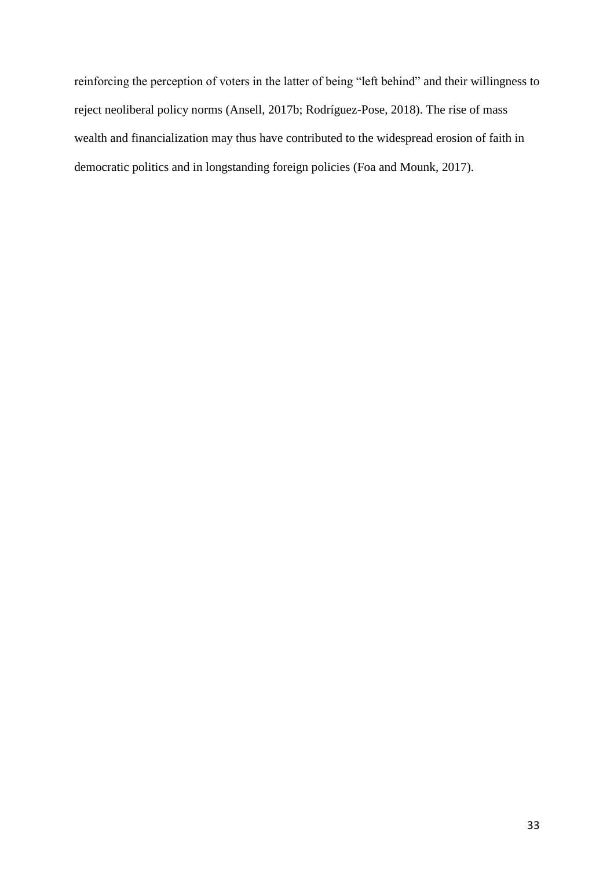reinforcing the perception of voters in the latter of being "left behind" and their willingness to reject neoliberal policy norms (Ansell, 2017b; Rodríguez-Pose, 2018). The rise of mass wealth and financialization may thus have contributed to the widespread erosion of faith in democratic politics and in longstanding foreign policies (Foa and Mounk, 2017).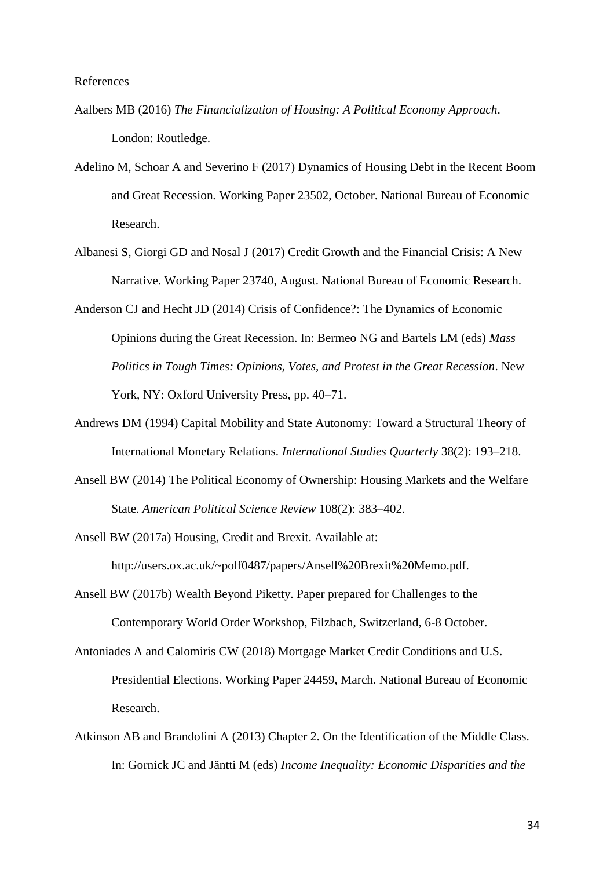- Aalbers MB (2016) *The Financialization of Housing: A Political Economy Approach*. London: Routledge.
- Adelino M, Schoar A and Severino F (2017) Dynamics of Housing Debt in the Recent Boom and Great Recession*.* Working Paper 23502, October. National Bureau of Economic Research.
- Albanesi S, Giorgi GD and Nosal J (2017) Credit Growth and the Financial Crisis: A New Narrative. Working Paper 23740, August. National Bureau of Economic Research.
- Anderson CJ and Hecht JD (2014) Crisis of Confidence?: The Dynamics of Economic Opinions during the Great Recession. In: Bermeo NG and Bartels LM (eds) *Mass Politics in Tough Times: Opinions, Votes, and Protest in the Great Recession*. New York, NY: Oxford University Press, pp. 40–71.
- Andrews DM (1994) Capital Mobility and State Autonomy: Toward a Structural Theory of International Monetary Relations. *International Studies Quarterly* 38(2): 193–218.
- Ansell BW (2014) The Political Economy of Ownership: Housing Markets and the Welfare State. *American Political Science Review* 108(2): 383–402.

Ansell BW (2017a) Housing, Credit and Brexit. Available at: http://users.ox.ac.uk/~polf0487/papers/Ansell%20Brexit%20Memo.pdf.

Ansell BW (2017b) Wealth Beyond Piketty. Paper prepared for Challenges to the Contemporary World Order Workshop, Filzbach, Switzerland, 6-8 October.

Antoniades A and Calomiris CW (2018) Mortgage Market Credit Conditions and U.S. Presidential Elections. Working Paper 24459, March. National Bureau of Economic Research.

Atkinson AB and Brandolini A (2013) Chapter 2. On the Identification of the Middle Class. In: Gornick JC and Jäntti M (eds) *Income Inequality: Economic Disparities and the*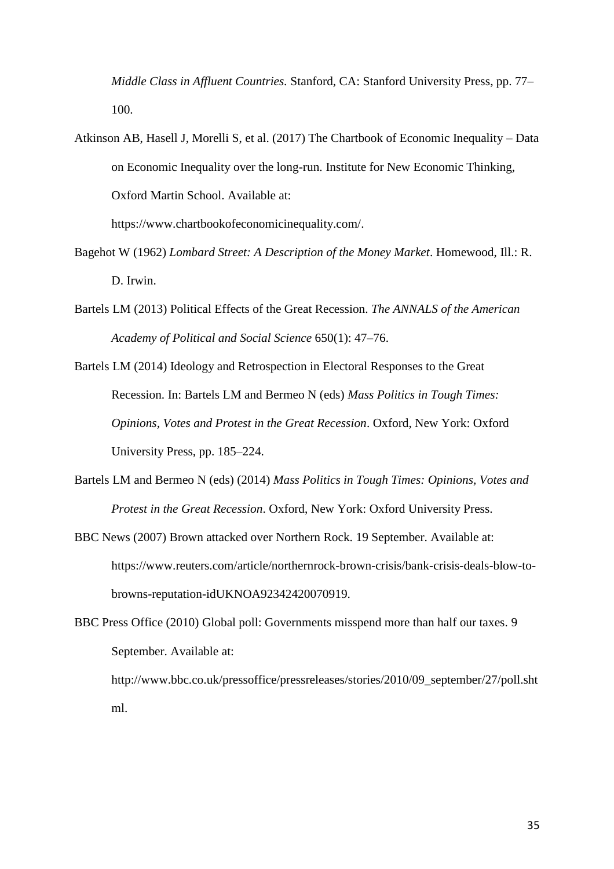*Middle Class in Affluent Countries.* Stanford, CA: Stanford University Press, pp. 77– 100.

Atkinson AB, Hasell J, Morelli S, et al. (2017) The Chartbook of Economic Inequality – Data on Economic Inequality over the long-run. Institute for New Economic Thinking, Oxford Martin School. Available at:

https://www.chartbookofeconomicinequality.com/.

- Bagehot W (1962) *Lombard Street: A Description of the Money Market*. Homewood, Ill.: R. D. Irwin.
- Bartels LM (2013) Political Effects of the Great Recession. *The ANNALS of the American Academy of Political and Social Science* 650(1): 47–76.
- Bartels LM (2014) Ideology and Retrospection in Electoral Responses to the Great Recession. In: Bartels LM and Bermeo N (eds) *Mass Politics in Tough Times: Opinions, Votes and Protest in the Great Recession*. Oxford, New York: Oxford University Press, pp. 185–224.
- Bartels LM and Bermeo N (eds) (2014) *Mass Politics in Tough Times: Opinions, Votes and Protest in the Great Recession*. Oxford, New York: Oxford University Press.
- BBC News (2007) Brown attacked over Northern Rock. 19 September. Available at: https://www.reuters.com/article/northernrock-brown-crisis/bank-crisis-deals-blow-tobrowns-reputation-idUKNOA92342420070919.
- BBC Press Office (2010) Global poll: Governments misspend more than half our taxes. 9 September. Available at:

http://www.bbc.co.uk/pressoffice/pressreleases/stories/2010/09\_september/27/poll.sht ml.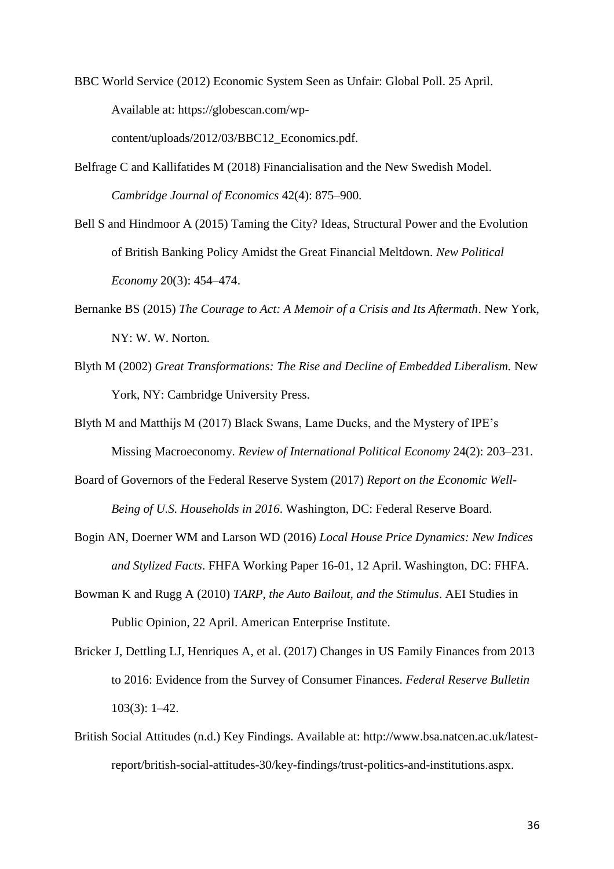BBC World Service (2012) Economic System Seen as Unfair: Global Poll. 25 April. Available at: https://globescan.com/wp-

content/uploads/2012/03/BBC12\_Economics.pdf.

- Belfrage C and Kallifatides M (2018) Financialisation and the New Swedish Model. *Cambridge Journal of Economics* 42(4): 875–900.
- Bell S and Hindmoor A (2015) Taming the City? Ideas, Structural Power and the Evolution of British Banking Policy Amidst the Great Financial Meltdown. *New Political Economy* 20(3): 454–474.
- Bernanke BS (2015) *The Courage to Act: A Memoir of a Crisis and Its Aftermath*. New York, NY: W. W. Norton.
- Blyth M (2002) *Great Transformations: The Rise and Decline of Embedded Liberalism.* New York, NY: Cambridge University Press.
- Blyth M and Matthijs M (2017) Black Swans, Lame Ducks, and the Mystery of IPE's Missing Macroeconomy. *Review of International Political Economy* 24(2): 203–231.
- Board of Governors of the Federal Reserve System (2017) *Report on the Economic Well-Being of U.S. Households in 2016*. Washington, DC: Federal Reserve Board.
- Bogin AN, Doerner WM and Larson WD (2016) *Local House Price Dynamics: New Indices and Stylized Facts*. FHFA Working Paper 16-01, 12 April. Washington, DC: FHFA.
- Bowman K and Rugg A (2010) *TARP, the Auto Bailout, and the Stimulus*. AEI Studies in Public Opinion, 22 April. American Enterprise Institute.
- Bricker J, Dettling LJ, Henriques A, et al. (2017) Changes in US Family Finances from 2013 to 2016: Evidence from the Survey of Consumer Finances. *Federal Reserve Bulletin* 103(3): 1–42.
- British Social Attitudes (n.d.) Key Findings. Available at: http://www.bsa.natcen.ac.uk/latestreport/british-social-attitudes-30/key-findings/trust-politics-and-institutions.aspx.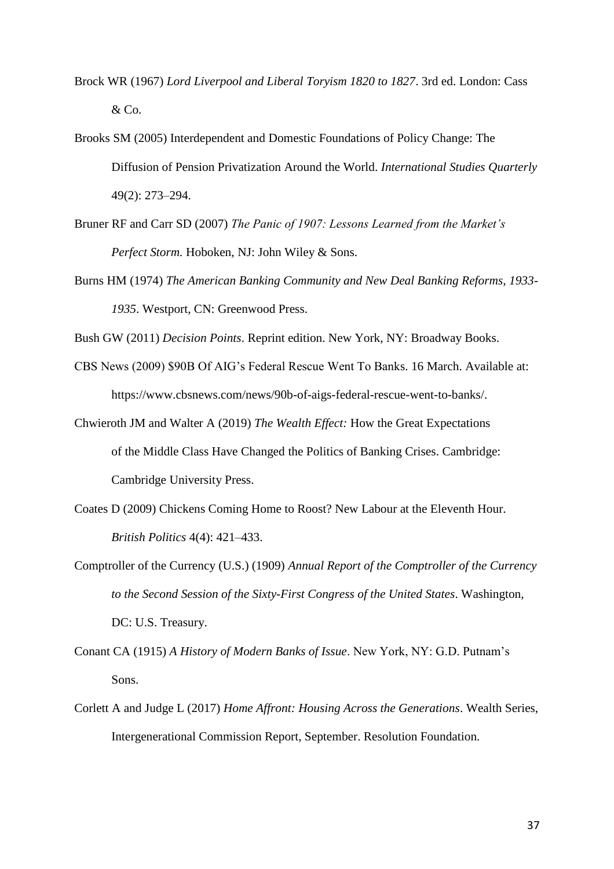- Brock WR (1967) *Lord Liverpool and Liberal Toryism 1820 to 1827*. 3rd ed. London: Cass  $&Co.$
- Brooks SM (2005) Interdependent and Domestic Foundations of Policy Change: The Diffusion of Pension Privatization Around the World. *International Studies Quarterly* 49(2): 273–294.
- Bruner RF and Carr SD (2007) *The Panic of 1907: Lessons Learned from the Market's Perfect Storm.* Hoboken, NJ: John Wiley & Sons.
- Burns HM (1974) *The American Banking Community and New Deal Banking Reforms, 1933- 1935*. Westport, CN: Greenwood Press.

Bush GW (2011) *Decision Points*. Reprint edition. New York, NY: Broadway Books.

- CBS News (2009) \$90B Of AIG's Federal Rescue Went To Banks. 16 March. Available at: https://www.cbsnews.com/news/90b-of-aigs-federal-rescue-went-to-banks/.
- Chwieroth JM and Walter A (2019) *The Wealth Effect:* How the Great Expectations of the Middle Class Have Changed the Politics of Banking Crises. Cambridge: Cambridge University Press.
- Coates D (2009) Chickens Coming Home to Roost? New Labour at the Eleventh Hour. *British Politics* 4(4): 421–433.
- Comptroller of the Currency (U.S.) (1909) *Annual Report of the Comptroller of the Currency to the Second Session of the Sixty-First Congress of the United States*. Washington, DC: U.S. Treasury.
- Conant CA (1915) *A History of Modern Banks of Issue*. New York, NY: G.D. Putnam's Sons.
- Corlett A and Judge L (2017) *Home Affront: Housing Across the Generations*. Wealth Series, Intergenerational Commission Report, September. Resolution Foundation.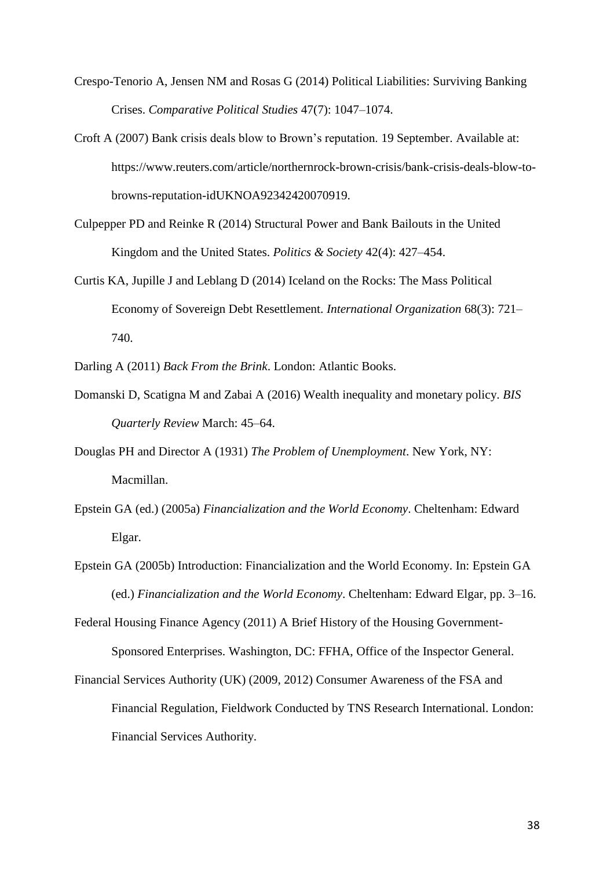- Crespo-Tenorio A, Jensen NM and Rosas G (2014) Political Liabilities: Surviving Banking Crises. *Comparative Political Studies* 47(7): 1047–1074.
- Croft A (2007) Bank crisis deals blow to Brown's reputation. 19 September. Available at: https://www.reuters.com/article/northernrock-brown-crisis/bank-crisis-deals-blow-tobrowns-reputation-idUKNOA92342420070919.
- Culpepper PD and Reinke R (2014) Structural Power and Bank Bailouts in the United Kingdom and the United States. *Politics & Society* 42(4): 427–454.
- Curtis KA, Jupille J and Leblang D (2014) Iceland on the Rocks: The Mass Political Economy of Sovereign Debt Resettlement. *International Organization* 68(3): 721– 740.

Darling A (2011) *Back From the Brink*. London: Atlantic Books.

- Domanski D, Scatigna M and Zabai A (2016) Wealth inequality and monetary policy. *BIS Quarterly Review* March: 45–64.
- Douglas PH and Director A (1931) *The Problem of Unemployment*. New York, NY: Macmillan.
- Epstein GA (ed.) (2005a) *Financialization and the World Economy*. Cheltenham: Edward Elgar.
- Epstein GA (2005b) Introduction: Financialization and the World Economy. In: Epstein GA (ed.) *Financialization and the World Economy*. Cheltenham: Edward Elgar, pp. 3–16.
- Federal Housing Finance Agency (2011) A Brief History of the Housing Government-Sponsored Enterprises. Washington, DC: FFHA, Office of the Inspector General.
- Financial Services Authority (UK) (2009, 2012) Consumer Awareness of the FSA and Financial Regulation, Fieldwork Conducted by TNS Research International. London: Financial Services Authority.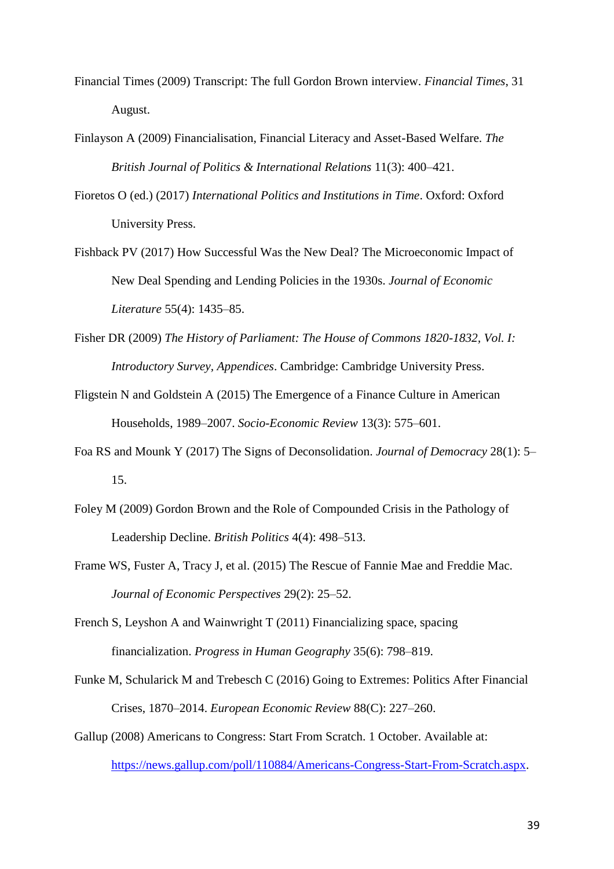- Financial Times (2009) Transcript: The full Gordon Brown interview. *Financial Times*, 31 August.
- Finlayson A (2009) Financialisation, Financial Literacy and Asset-Based Welfare. *The British Journal of Politics & International Relations* 11(3): 400–421.
- Fioretos O (ed.) (2017) *International Politics and Institutions in Time*. Oxford: Oxford University Press.
- Fishback PV (2017) How Successful Was the New Deal? The Microeconomic Impact of New Deal Spending and Lending Policies in the 1930s. *Journal of Economic Literature* 55(4): 1435–85.
- Fisher DR (2009) *The History of Parliament: The House of Commons 1820-1832, Vol. I: Introductory Survey, Appendices*. Cambridge: Cambridge University Press.
- Fligstein N and Goldstein A (2015) The Emergence of a Finance Culture in American Households, 1989–2007. *Socio-Economic Review* 13(3): 575–601.
- Foa RS and Mounk Y (2017) The Signs of Deconsolidation. *Journal of Democracy* 28(1): 5– 15.
- Foley M (2009) Gordon Brown and the Role of Compounded Crisis in the Pathology of Leadership Decline. *British Politics* 4(4): 498–513.
- Frame WS, Fuster A, Tracy J, et al. (2015) The Rescue of Fannie Mae and Freddie Mac. *Journal of Economic Perspectives* 29(2): 25–52.
- French S, Leyshon A and Wainwright T (2011) Financializing space, spacing financialization. *Progress in Human Geography* 35(6): 798–819.
- Funke M, Schularick M and Trebesch C (2016) Going to Extremes: Politics After Financial Crises, 1870–2014. *European Economic Review* 88(C): 227–260.
- Gallup (2008) Americans to Congress: Start From Scratch. 1 October. Available at: [https://news.gallup.com/poll/110884/Americans-Congress-Start-From-Scratch.aspx.](https://news.gallup.com/poll/110884/Americans-Congress-Start-From-Scratch.aspx)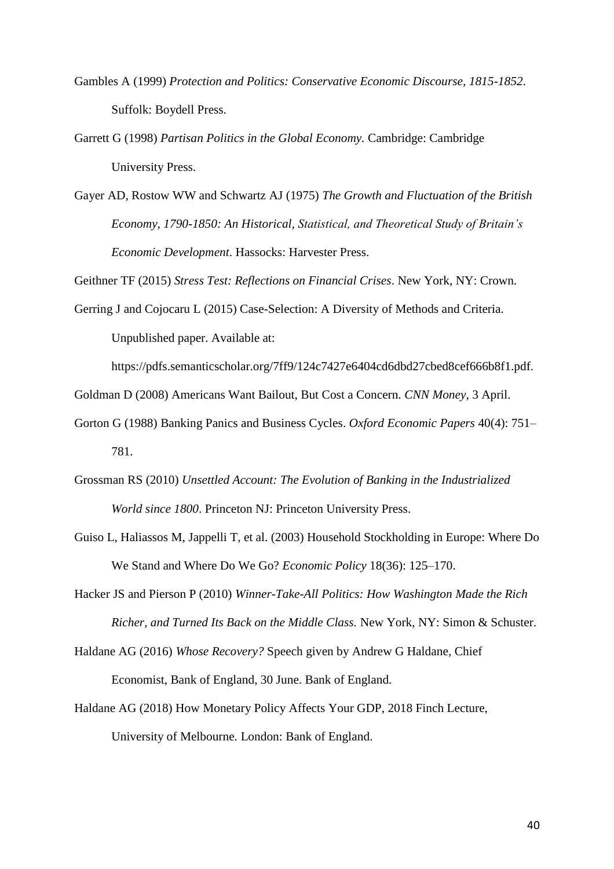- Gambles A (1999) *Protection and Politics: Conservative Economic Discourse, 1815-1852*. Suffolk: Boydell Press.
- Garrett G (1998) *Partisan Politics in the Global Economy.* Cambridge: Cambridge University Press.
- Gayer AD, Rostow WW and Schwartz AJ (1975) *The Growth and Fluctuation of the British Economy, 1790-1850: An Historical, Statistical, and Theoretical Study of Britain's Economic Development*. Hassocks: Harvester Press.

Geithner TF (2015) *Stress Test: Reflections on Financial Crises*. New York, NY: Crown.

Gerring J and Cojocaru L (2015) Case-Selection: A Diversity of Methods and Criteria. Unpublished paper. Available at:

https://pdfs.semanticscholar.org/7ff9/124c7427e6404cd6dbd27cbed8cef666b8f1.pdf.

Goldman D (2008) Americans Want Bailout, But Cost a Concern. *CNN Money*, 3 April.

- Gorton G (1988) Banking Panics and Business Cycles. *Oxford Economic Papers* 40(4): 751– 781.
- Grossman RS (2010) *Unsettled Account: The Evolution of Banking in the Industrialized World since 1800*. Princeton NJ: Princeton University Press.
- Guiso L, Haliassos M, Jappelli T, et al. (2003) Household Stockholding in Europe: Where Do We Stand and Where Do We Go? *Economic Policy* 18(36): 125–170.
- Hacker JS and Pierson P (2010) *Winner-Take-All Politics: How Washington Made the Rich Richer, and Turned Its Back on the Middle Class.* New York, NY: Simon & Schuster.
- Haldane AG (2016) *Whose Recovery?* Speech given by Andrew G Haldane, Chief Economist, Bank of England, 30 June. Bank of England.
- Haldane AG (2018) How Monetary Policy Affects Your GDP, 2018 Finch Lecture, University of Melbourne. London: Bank of England.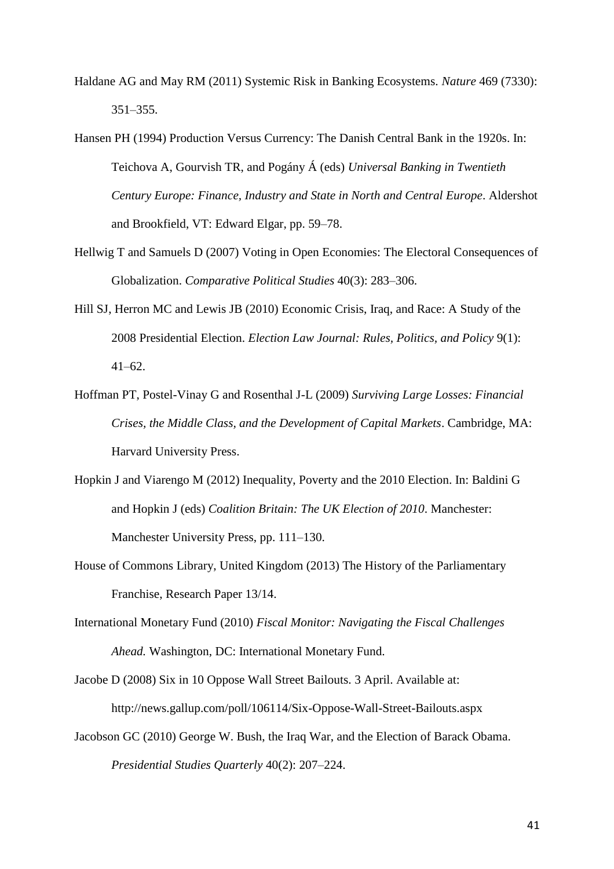- Haldane AG and May RM (2011) Systemic Risk in Banking Ecosystems. *Nature* 469 (7330): 351–355.
- Hansen PH (1994) Production Versus Currency: The Danish Central Bank in the 1920s. In: Teichova A, Gourvish TR, and Pogány Á (eds) *Universal Banking in Twentieth Century Europe: Finance, Industry and State in North and Central Europe*. Aldershot and Brookfield, VT: Edward Elgar, pp. 59–78.
- Hellwig T and Samuels D (2007) Voting in Open Economies: The Electoral Consequences of Globalization. *Comparative Political Studies* 40(3): 283–306.
- Hill SJ, Herron MC and Lewis JB (2010) Economic Crisis, Iraq, and Race: A Study of the 2008 Presidential Election. *Election Law Journal: Rules, Politics, and Policy* 9(1): 41–62.
- Hoffman PT, Postel-Vinay G and Rosenthal J-L (2009) *Surviving Large Losses: Financial Crises, the Middle Class, and the Development of Capital Markets*. Cambridge, MA: Harvard University Press.
- Hopkin J and Viarengo M (2012) Inequality, Poverty and the 2010 Election. In: Baldini G and Hopkin J (eds) *Coalition Britain: The UK Election of 2010*. Manchester: Manchester University Press, pp. 111–130.
- House of Commons Library, United Kingdom (2013) The History of the Parliamentary Franchise, Research Paper 13/14.
- International Monetary Fund (2010) *Fiscal Monitor: Navigating the Fiscal Challenges Ahead.* Washington, DC: International Monetary Fund.
- Jacobe D (2008) Six in 10 Oppose Wall Street Bailouts. 3 April. Available at: http://news.gallup.com/poll/106114/Six-Oppose-Wall-Street-Bailouts.aspx
- Jacobson GC (2010) George W. Bush, the Iraq War, and the Election of Barack Obama. *Presidential Studies Quarterly* 40(2): 207–224.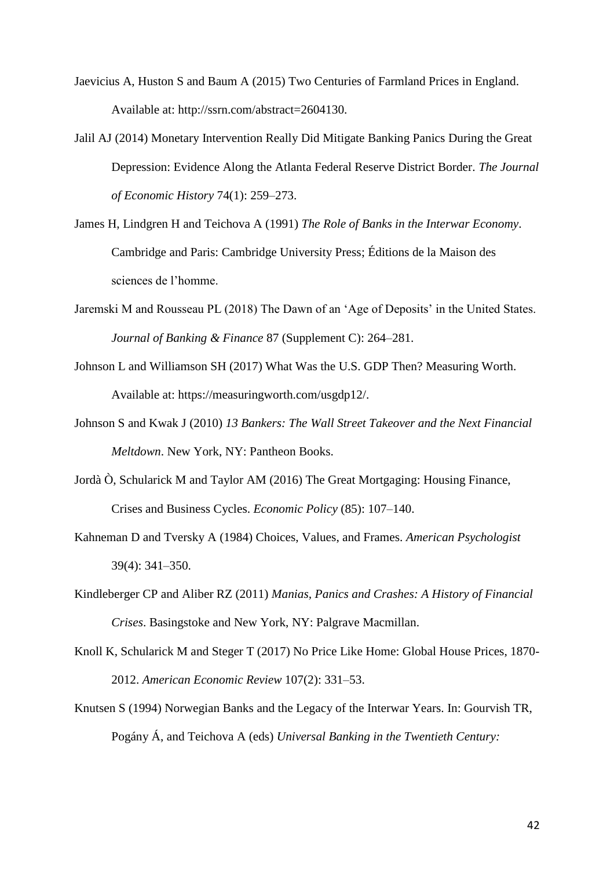- Jaevicius A, Huston S and Baum A (2015) Two Centuries of Farmland Prices in England. Available at: http://ssrn.com/abstract=2604130.
- Jalil AJ (2014) Monetary Intervention Really Did Mitigate Banking Panics During the Great Depression: Evidence Along the Atlanta Federal Reserve District Border. *The Journal of Economic History* 74(1): 259–273.
- James H, Lindgren H and Teichova A (1991) *The Role of Banks in the Interwar Economy*. Cambridge and Paris: Cambridge University Press; Éditions de la Maison des sciences de l'homme.
- Jaremski M and Rousseau PL (2018) The Dawn of an 'Age of Deposits' in the United States. *Journal of Banking & Finance* 87 (Supplement C): 264–281.
- Johnson L and Williamson SH (2017) What Was the U.S. GDP Then? Measuring Worth. Available at: https://measuringworth.com/usgdp12/.
- Johnson S and Kwak J (2010) *13 Bankers: The Wall Street Takeover and the Next Financial Meltdown*. New York, NY: Pantheon Books.
- Jordà Ò, Schularick M and Taylor AM (2016) The Great Mortgaging: Housing Finance, Crises and Business Cycles. *Economic Policy* (85): 107–140.
- Kahneman D and Tversky A (1984) Choices, Values, and Frames. *American Psychologist* 39(4): 341–350.
- Kindleberger CP and Aliber RZ (2011) *Manias, Panics and Crashes: A History of Financial Crises*. Basingstoke and New York, NY: Palgrave Macmillan.
- Knoll K, Schularick M and Steger T (2017) No Price Like Home: Global House Prices, 1870- 2012. *American Economic Review* 107(2): 331–53.
- Knutsen S (1994) Norwegian Banks and the Legacy of the Interwar Years. In: Gourvish TR, Pogány Á, and Teichova A (eds) *Universal Banking in the Twentieth Century:*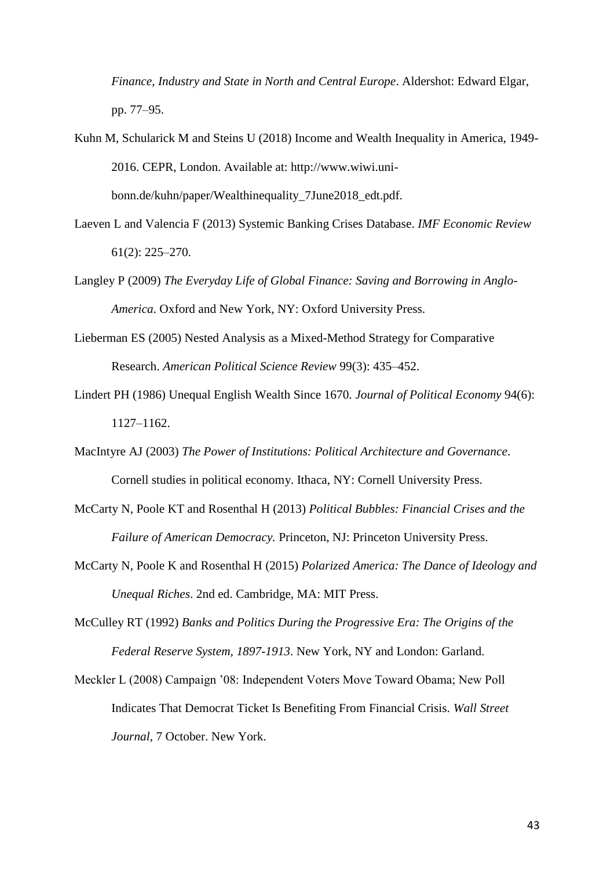*Finance, Industry and State in North and Central Europe*. Aldershot: Edward Elgar, pp. 77–95.

- Kuhn M, Schularick M and Steins U (2018) Income and Wealth Inequality in America, 1949- 2016. CEPR, London. Available at: http://www.wiwi.unibonn.de/kuhn/paper/Wealthinequality\_7June2018\_edt.pdf.
- Laeven L and Valencia F (2013) Systemic Banking Crises Database. *IMF Economic Review* 61(2): 225–270.
- Langley P (2009) *The Everyday Life of Global Finance: Saving and Borrowing in Anglo-America*. Oxford and New York, NY: Oxford University Press.
- Lieberman ES (2005) Nested Analysis as a Mixed-Method Strategy for Comparative Research. *American Political Science Review* 99(3): 435–452.
- Lindert PH (1986) Unequal English Wealth Since 1670. *Journal of Political Economy* 94(6): 1127–1162.
- MacIntyre AJ (2003) *The Power of Institutions: Political Architecture and Governance*. Cornell studies in political economy. Ithaca, NY: Cornell University Press.
- McCarty N, Poole KT and Rosenthal H (2013) *Political Bubbles: Financial Crises and the Failure of American Democracy.* Princeton, NJ: Princeton University Press.
- McCarty N, Poole K and Rosenthal H (2015) *Polarized America: The Dance of Ideology and Unequal Riches*. 2nd ed. Cambridge, MA: MIT Press.
- McCulley RT (1992) *Banks and Politics During the Progressive Era: The Origins of the Federal Reserve System, 1897-1913*. New York, NY and London: Garland.
- Meckler L (2008) Campaign '08: Independent Voters Move Toward Obama; New Poll Indicates That Democrat Ticket Is Benefiting From Financial Crisis. *Wall Street Journal*, 7 October. New York.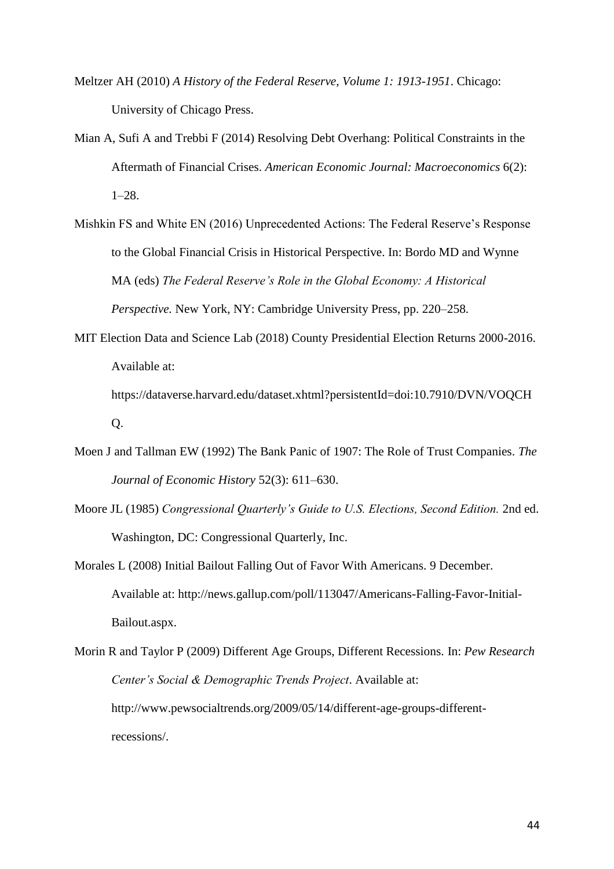- Meltzer AH (2010) *A History of the Federal Reserve, Volume 1: 1913-1951*. Chicago: University of Chicago Press.
- Mian A, Sufi A and Trebbi F (2014) Resolving Debt Overhang: Political Constraints in the Aftermath of Financial Crises. *American Economic Journal: Macroeconomics* 6(2): 1–28.
- Mishkin FS and White EN (2016) Unprecedented Actions: The Federal Reserve's Response to the Global Financial Crisis in Historical Perspective. In: Bordo MD and Wynne MA (eds) *The Federal Reserve's Role in the Global Economy: A Historical Perspective.* New York, NY: Cambridge University Press, pp. 220–258.
- MIT Election Data and Science Lab (2018) County Presidential Election Returns 2000-2016. Available at:

https://dataverse.harvard.edu/dataset.xhtml?persistentId=doi:10.7910/DVN/VOQCH Q.

- Moen J and Tallman EW (1992) The Bank Panic of 1907: The Role of Trust Companies. *The Journal of Economic History* 52(3): 611–630.
- Moore JL (1985) *Congressional Quarterly's Guide to U.S. Elections, Second Edition.* 2nd ed. Washington, DC: Congressional Quarterly, Inc.
- Morales L (2008) Initial Bailout Falling Out of Favor With Americans. 9 December. Available at: http://news.gallup.com/poll/113047/Americans-Falling-Favor-Initial-Bailout.aspx.
- Morin R and Taylor P (2009) Different Age Groups, Different Recessions. In: *Pew Research Center's Social & Demographic Trends Project*. Available at: http://www.pewsocialtrends.org/2009/05/14/different-age-groups-differentrecessions/.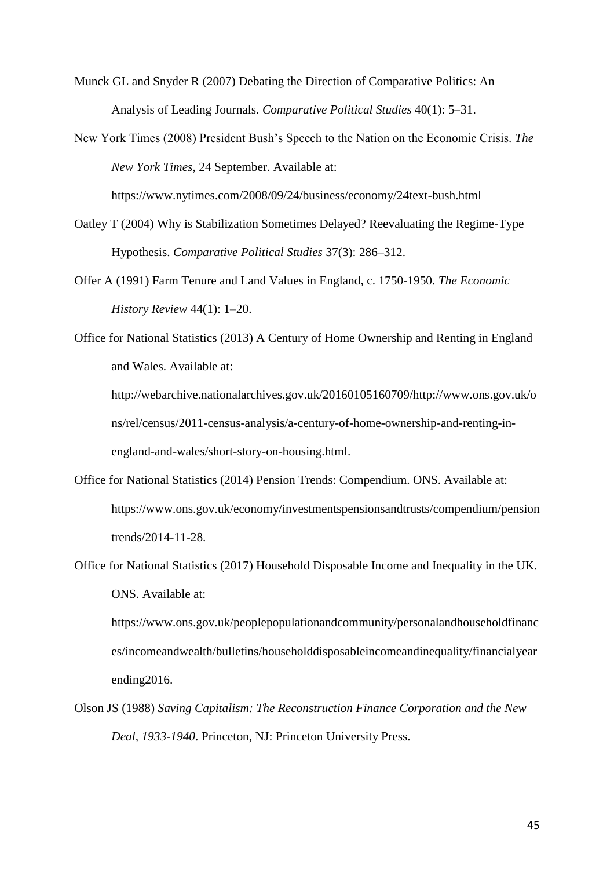Munck GL and Snyder R (2007) Debating the Direction of Comparative Politics: An Analysis of Leading Journals. *Comparative Political Studies* 40(1): 5–31.

New York Times (2008) President Bush's Speech to the Nation on the Economic Crisis. *The New York Times*, 24 September. Available at:

https://www.nytimes.com/2008/09/24/business/economy/24text-bush.html

- Oatley T (2004) Why is Stabilization Sometimes Delayed? Reevaluating the Regime-Type Hypothesis. *Comparative Political Studies* 37(3): 286–312.
- Offer A (1991) Farm Tenure and Land Values in England, c. 1750-1950. *The Economic History Review* 44(1): 1–20.
- Office for National Statistics (2013) A Century of Home Ownership and Renting in England and Wales. Available at:

http://webarchive.nationalarchives.gov.uk/20160105160709/http://www.ons.gov.uk/o ns/rel/census/2011-census-analysis/a-century-of-home-ownership-and-renting-inengland-and-wales/short-story-on-housing.html.

- Office for National Statistics (2014) Pension Trends: Compendium. ONS. Available at: https://www.ons.gov.uk/economy/investmentspensionsandtrusts/compendium/pension trends/2014-11-28.
- Office for National Statistics (2017) Household Disposable Income and Inequality in the UK. ONS. Available at:

https://www.ons.gov.uk/peoplepopulationandcommunity/personalandhouseholdfinanc es/incomeandwealth/bulletins/householddisposableincomeandinequality/financialyear ending2016.

Olson JS (1988) *Saving Capitalism: The Reconstruction Finance Corporation and the New Deal, 1933-1940*. Princeton, NJ: Princeton University Press.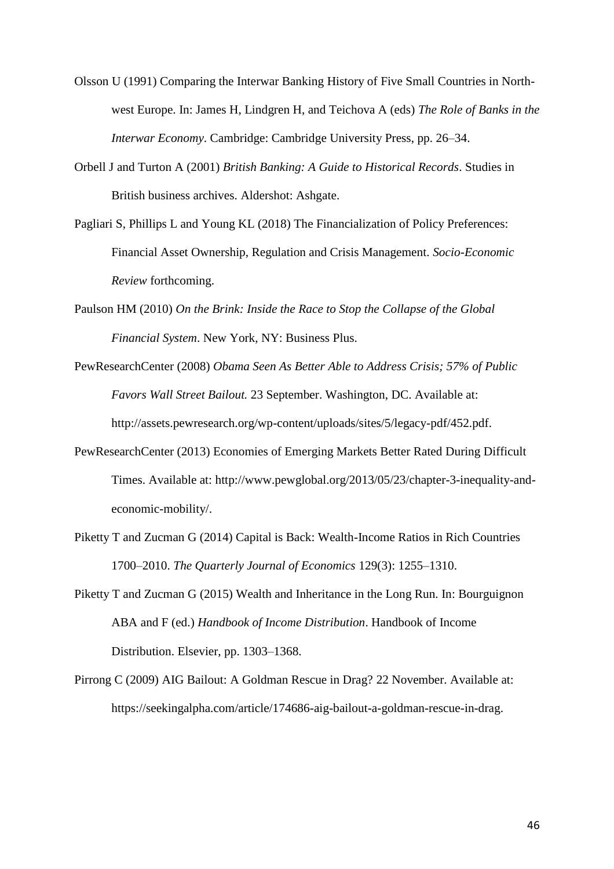- Olsson U (1991) Comparing the Interwar Banking History of Five Small Countries in Northwest Europe. In: James H, Lindgren H, and Teichova A (eds) *The Role of Banks in the Interwar Economy*. Cambridge: Cambridge University Press, pp. 26–34.
- Orbell J and Turton A (2001) *British Banking: A Guide to Historical Records*. Studies in British business archives. Aldershot: Ashgate.
- Pagliari S, Phillips L and Young KL (2018) The Financialization of Policy Preferences: Financial Asset Ownership, Regulation and Crisis Management. *Socio-Economic Review* forthcoming.
- Paulson HM (2010) *On the Brink: Inside the Race to Stop the Collapse of the Global Financial System*. New York, NY: Business Plus.
- PewResearchCenter (2008) *Obama Seen As Better Able to Address Crisis; 57% of Public Favors Wall Street Bailout.* 23 September. Washington, DC. Available at: http://assets.pewresearch.org/wp-content/uploads/sites/5/legacy-pdf/452.pdf.
- PewResearchCenter (2013) Economies of Emerging Markets Better Rated During Difficult Times. Available at: http://www.pewglobal.org/2013/05/23/chapter-3-inequality-andeconomic-mobility/.
- Piketty T and Zucman G (2014) Capital is Back: Wealth-Income Ratios in Rich Countries 1700–2010. *The Quarterly Journal of Economics* 129(3): 1255–1310.
- Piketty T and Zucman G (2015) Wealth and Inheritance in the Long Run. In: Bourguignon ABA and F (ed.) *Handbook of Income Distribution*. Handbook of Income Distribution. Elsevier, pp. 1303–1368.
- Pirrong C (2009) AIG Bailout: A Goldman Rescue in Drag? 22 November. Available at: https://seekingalpha.com/article/174686-aig-bailout-a-goldman-rescue-in-drag.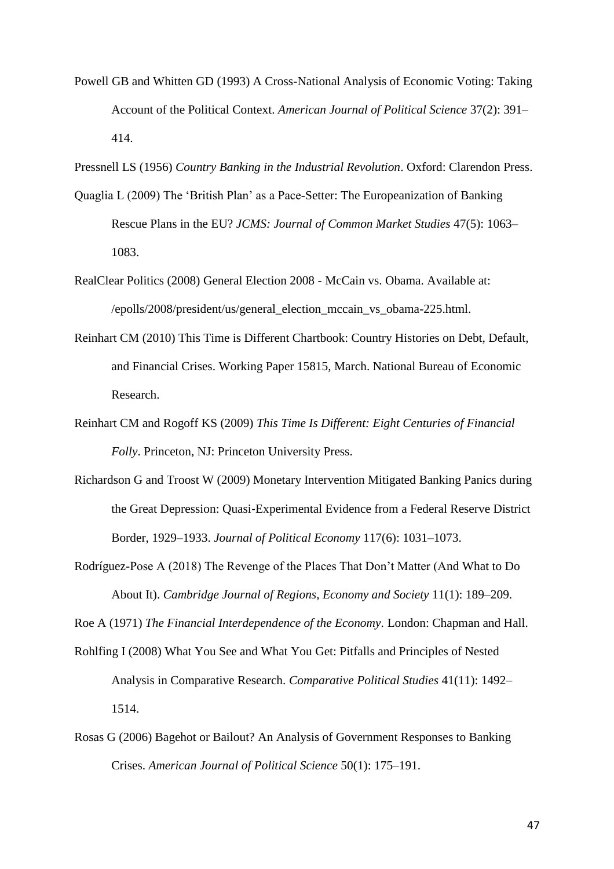- Powell GB and Whitten GD (1993) A Cross-National Analysis of Economic Voting: Taking Account of the Political Context. *American Journal of Political Science* 37(2): 391– 414.
- Pressnell LS (1956) *Country Banking in the Industrial Revolution*. Oxford: Clarendon Press.
- Quaglia L (2009) The 'British Plan' as a Pace-Setter: The Europeanization of Banking Rescue Plans in the EU? *JCMS: Journal of Common Market Studies* 47(5): 1063– 1083.
- RealClear Politics (2008) General Election 2008 McCain vs. Obama. Available at: /epolls/2008/president/us/general\_election\_mccain\_vs\_obama-225.html.
- Reinhart CM (2010) This Time is Different Chartbook: Country Histories on Debt, Default, and Financial Crises. Working Paper 15815, March. National Bureau of Economic Research.
- Reinhart CM and Rogoff KS (2009) *This Time Is Different: Eight Centuries of Financial Folly*. Princeton, NJ: Princeton University Press.
- Richardson G and Troost W (2009) Monetary Intervention Mitigated Banking Panics during the Great Depression: Quasi‐Experimental Evidence from a Federal Reserve District Border, 1929–1933. *Journal of Political Economy* 117(6): 1031–1073.
- Rodríguez-Pose A (2018) The Revenge of the Places That Don't Matter (And What to Do About It). *Cambridge Journal of Regions, Economy and Society* 11(1): 189–209.

Roe A (1971) *The Financial Interdependence of the Economy*. London: Chapman and Hall.

- Rohlfing I (2008) What You See and What You Get: Pitfalls and Principles of Nested Analysis in Comparative Research. *Comparative Political Studies* 41(11): 1492– 1514.
- Rosas G (2006) Bagehot or Bailout? An Analysis of Government Responses to Banking Crises. *American Journal of Political Science* 50(1): 175–191.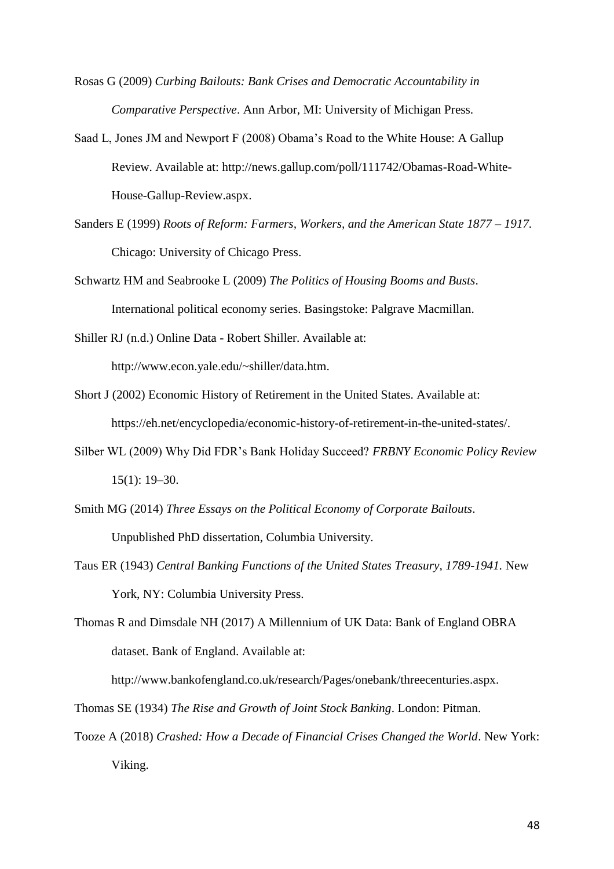Rosas G (2009) *Curbing Bailouts: Bank Crises and Democratic Accountability in Comparative Perspective*. Ann Arbor, MI: University of Michigan Press.

- Saad L, Jones JM and Newport F (2008) Obama's Road to the White House: A Gallup Review. Available at: http://news.gallup.com/poll/111742/Obamas-Road-White-House-Gallup-Review.aspx.
- Sanders E (1999) *Roots of Reform: Farmers, Workers, and the American State 1877 – 1917.* Chicago: University of Chicago Press.
- Schwartz HM and Seabrooke L (2009) *The Politics of Housing Booms and Busts*. International political economy series. Basingstoke: Palgrave Macmillan.

Shiller RJ (n.d.) Online Data - Robert Shiller. Available at: http://www.econ.yale.edu/~shiller/data.htm.

- Short J (2002) Economic History of Retirement in the United States. Available at: https://eh.net/encyclopedia/economic-history-of-retirement-in-the-united-states/.
- Silber WL (2009) Why Did FDR's Bank Holiday Succeed? *FRBNY Economic Policy Review* 15(1): 19–30.
- Smith MG (2014) *Three Essays on the Political Economy of Corporate Bailouts*. Unpublished PhD dissertation, Columbia University.
- Taus ER (1943) *Central Banking Functions of the United States Treasury, 1789-1941.* New York, NY: Columbia University Press.
- Thomas R and Dimsdale NH (2017) A Millennium of UK Data: Bank of England OBRA dataset. Bank of England. Available at:

http://www.bankofengland.co.uk/research/Pages/onebank/threecenturies.aspx.

Thomas SE (1934) *The Rise and Growth of Joint Stock Banking*. London: Pitman.

Tooze A (2018) *Crashed: How a Decade of Financial Crises Changed the World*. New York: Viking.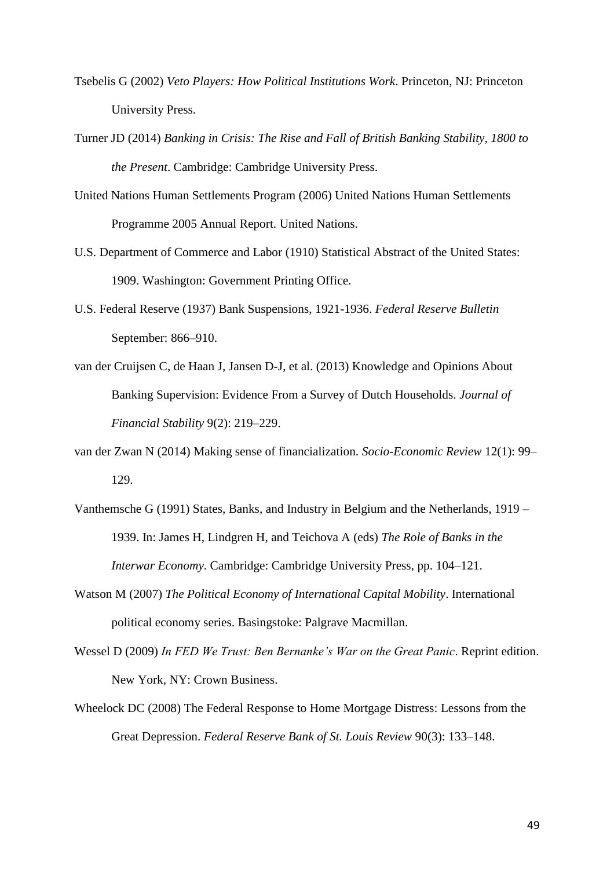- Tsebelis G (2002) *Veto Players: How Political Institutions Work*. Princeton, NJ: Princeton University Press.
- Turner JD (2014) *Banking in Crisis: The Rise and Fall of British Banking Stability, 1800 to the Present*. Cambridge: Cambridge University Press.
- United Nations Human Settlements Program (2006) United Nations Human Settlements Programme 2005 Annual Report. United Nations.
- U.S. Department of Commerce and Labor (1910) Statistical Abstract of the United States: 1909. Washington: Government Printing Office.
- U.S. Federal Reserve (1937) Bank Suspensions, 1921-1936. *Federal Reserve Bulletin* September: 866–910.
- van der Cruijsen C, de Haan J, Jansen D-J, et al. (2013) Knowledge and Opinions About Banking Supervision: Evidence From a Survey of Dutch Households. *Journal of Financial Stability* 9(2): 219–229.
- van der Zwan N (2014) Making sense of financialization. *Socio-Economic Review* 12(1): 99– 129.
- Vanthemsche G (1991) States, Banks, and Industry in Belgium and the Netherlands, 1919 1939. In: James H, Lindgren H, and Teichova A (eds) *The Role of Banks in the Interwar Economy*. Cambridge: Cambridge University Press, pp. 104–121.
- Watson M (2007) *The Political Economy of International Capital Mobility*. International political economy series. Basingstoke: Palgrave Macmillan.
- Wessel D (2009) *In FED We Trust: Ben Bernanke's War on the Great Panic*. Reprint edition. New York, NY: Crown Business.
- Wheelock DC (2008) The Federal Response to Home Mortgage Distress: Lessons from the Great Depression. *Federal Reserve Bank of St. Louis Review* 90(3): 133–148.